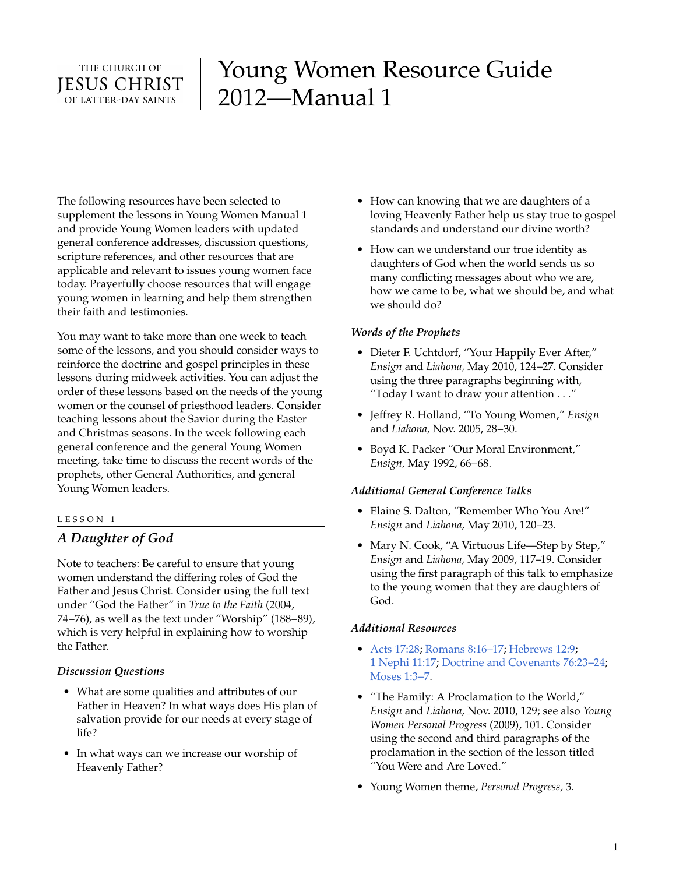# THE CHURCH OF **IESUS CHRIST** OF LATTER-DAY SAINTS

# Young Women Resource Guide 2012—Manual 1

The following resources have been selected to supplement the lessons in Young Women Manual 1 and provide Young Women leaders with updated general conference addresses, discussion questions, scripture references, and other resources that are applicable and relevant to issues young women face today. Prayerfully choose resources that will engage young women in learning and help them strengthen their faith and testimonies.

You may want to take more than one week to teach some of the lessons, and you should consider ways to reinforce the doctrine and gospel principles in these lessons during midweek activities. You can adjust the order of these lessons based on the needs of the young women or the counsel of priesthood leaders. Consider teaching lessons about the Savior during the Easter and Christmas seasons. In the week following each general conference and the general Young Women meeting, take time to discuss the recent words of the prophets, other General Authorities, and general Young Women leaders.

# LESSON 1

# *A Daughter of God*

Note to teachers: Be careful to ensure that young women understand the differing roles of God the Father and Jesus Christ. Consider using the full text under "God the Father" in *True to the Faith* (2004, 74–76), as well as the text under "Worship" (188–89), which is very helpful in explaining how to worship the Father.

# *Discussion Questions*

- What are some qualities and attributes of our Father in Heaven? In what ways does His plan of salvation provide for our needs at every stage of life?
- In what ways can we increase our worship of Heavenly Father?
- How can knowing that we are daughters of a loving Heavenly Father help us stay true to gospel standards and understand our divine worth?
- How can we understand our true identity as daughters of God when the world sends us so many conflicting messages about who we are, how we came to be, what we should be, and what we should do?

#### *Words of the Prophets*

- Dieter F. Uchtdorf, "Your Happily Ever After," *Ensign* and *Liahona,* May 2010, 124–27. Consider using the three paragraphs beginning with, "Today I want to draw your attention . . ."
- Jeffrey R. Holland, "To Young Women," *Ensign* and *Liahona,* Nov. 2005, 28–30.
- Boyd K. Packer "Our Moral Environment," *Ensign,* May 1992, 66–68.

#### *Additional General Conference Talks*

- Elaine S. Dalton, "Remember Who You Are!" *Ensign* and *Liahona,* May 2010, 120–23.
- Mary N. Cook, "A Virtuous Life—Step by Step," *Ensign* and *Liahona,* May 2009, 117–19. Consider using the first paragraph of this talk to emphasize to the young women that they are daughters of God.

#### *Additional Resources*

- [Acts 17:28](http://lds.org/scriptures/nt/acts/17.28?lang=eng#28); [Romans 8:16–17](http://lds.org/scriptures/nt/rom/8.16-17?lang=eng#16); [Hebrews 12:9](http://lds.org/scriptures/nt/heb/12.9?lang=eng#9); 1 [Nephi 11:17](http://lds.org/scriptures/bofm/1-ne/11.17?lang=eng#17); [Doctrine and Covenants 76:23–24](http://lds.org/scriptures/dc-testament/dc/76.23-24?lang=eng#23); [Moses 1:3–7](http://lds.org/scriptures/pgp/moses/1.3-7?lang=eng#3).
- "The Family: A Proclamation to the World," *Ensign* and *Liahona,* Nov. 2010, 129; see also *Young Women Personal Progress* (2009), 101. Consider using the second and third paragraphs of the proclamation in the section of the lesson titled "You Were and Are Loved."
- Young Women theme, *Personal Progress,* 3.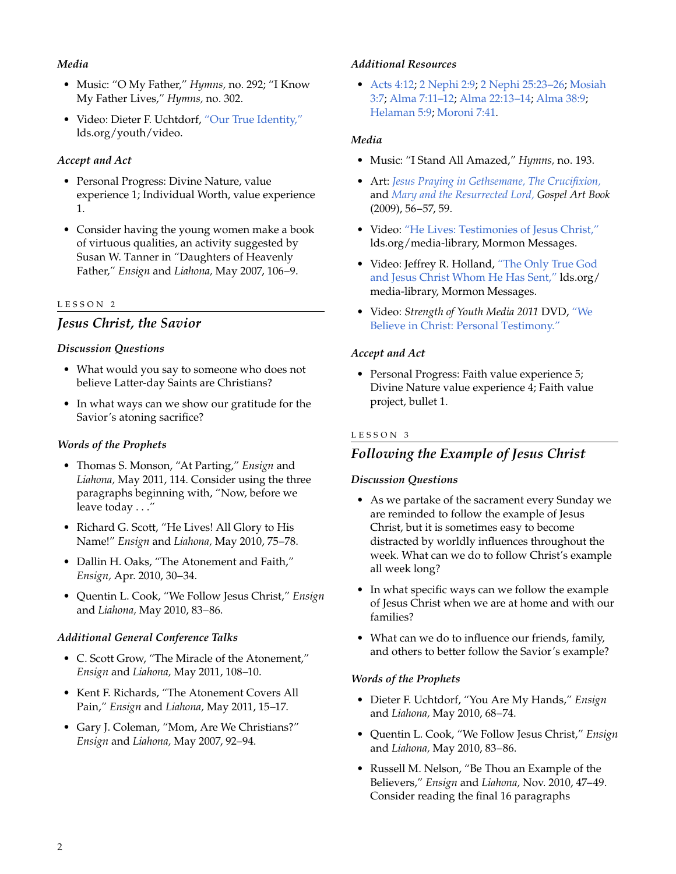# *Media*

- Music: "O My Father," *Hymns,* no. 292; "I Know My Father Lives," *Hymns,* no. 302.
- Video: Dieter F. Uchtdorf, ["Our True Identity,"](http://lds.org/youth/video/our-true-identity) lds.org/youth/video.

# *Accept and Act*

- Personal Progress: Divine Nature, value experience 1; Individual Worth, value experience 1.
- Consider having the young women make a book of virtuous qualities, an activity suggested by Susan W. Tanner in "Daughters of Heavenly Father," *Ensign* and *Liahona,* May 2007, 106–9.

# LESSON 2

# *Jesus Christ, the Savior*

# *Discussion Questions*

- What would you say to someone who does not believe Latter-day Saints are Christians?
- In what ways can we show our gratitude for the Savior's atoning sacrifice?

# *Words of the Prophets*

- Thomas S. Monson, "At Parting," *Ensign* and *Liahona,* May 2011, 114. Consider using the three paragraphs beginning with, "Now, before we leave today . . ."
- Richard G. Scott, "He Lives! All Glory to His Name!" *Ensign* and *Liahona,* May 2010, 75–78.
- Dallin H. Oaks, "The Atonement and Faith," *Ensign,* Apr. 2010, 30–34.
- Quentin L. Cook, "We Follow Jesus Christ," *Ensign* and *Liahona,* May 2010, 83–86.

# *Additional General Conference Talks*

- C. Scott Grow, "The Miracle of the Atonement," *Ensign* and *Liahona,* May 2011, 108–10.
- Kent F. Richards, "The Atonement Covers All Pain," *Ensign* and *Liahona,* May 2011, 15–17.
- Gary J. Coleman, "Mom, Are We Christians?" *Ensign* and *Liahona,* May 2007, 92–94.

#### *Additional Resources*

• [Acts 4:12](http://lds.org/scriptures/nt/acts/4.12?lang=eng#12); 2 [Nephi 2:9;](http://lds.org/scriptures/bofm/2-ne/2.9?lang=eng#9) 2 [Nephi 25:23–26](http://lds.org/scriptures/bofm/2-ne/25.23-26?lang=eng#23); [Mosiah](http://lds.org/scriptures/bofm/mosiah/3.7?lang=eng#7) [3:7](http://lds.org/scriptures/bofm/mosiah/3.7?lang=eng#7); [Alma 7:11–12](http://lds.org/scriptures/bofm/alma/7.11-12?lang=eng#11); [Alma 22:13–14;](http://lds.org/scriptures/bofm/alma/22.13-14?lang=eng#13) [Alma 38:9](http://lds.org/scriptures/bofm/alma/38.9?lang=eng#9); [Helaman 5:9](http://lds.org/scriptures/bofm/hel/5.9?lang=eng#9); [Moroni 7:41](http://lds.org/scriptures/bofm/moro/7.41?lang=eng#41).

# *Media*

- Music: "I Stand All Amazed," *Hymns,* no. 193.
- Art: *[Jesus Praying in Gethsemane,](http://lds.org/gospellibrary/artbook/images/ArtBook__056_056__JesusPrayingInGethsemane_Sm___.jpg) [The Crucifixion,](http://lds.org/gospellibrary/artbook/images/ArtBook__057_057__TheCrucifixion_Sm___.jpg)* and *[Mary and the Resurrected Lord,](http://lds.org/gospellibrary/artbook/images/ArtBook__059_059__MaryAndTheResurrectedJesusChrist_Sm___.jpg) Gospel Art Book* (2009), 56–57, 59.
- Video: ["He Lives: Testimonies of Jesus Christ,"](http://lds.org/ldsorg/v/index.jsp?autoplay=true&index=2&locale=0&sourceId=79bacbcc921b7210VgnVCM100000176f620a____&vgnextoid=bd163ca6e9aa3210VgnVCM1000003a94610aRCRD) lds.org/media-library, Mormon Messages.
- Video: Jeffrey R. Holland, ["The Only True God](http://lds.org/ldsorg/v/index.jsp?autoplay=true&index=5&locale=0&sourceId=f783b0333ee92210VgnVCM100000176f620a____&vgnextoid=bd163ca6e9aa3210VgnVCM1000003a94610aRCRD) [and Jesus Christ Whom He Has Sent,"](http://lds.org/ldsorg/v/index.jsp?autoplay=true&index=5&locale=0&sourceId=f783b0333ee92210VgnVCM100000176f620a____&vgnextoid=bd163ca6e9aa3210VgnVCM1000003a94610aRCRD) lds.org/ media-library, Mormon Messages.
- Video: *Strength of Youth Media 2011* DVD, ["We](http://lds.org/youth/video/we-believe-in-christ-personal-testimony?lang=eng) [Believe in Christ: Personal Testimony."](http://lds.org/youth/video/we-believe-in-christ-personal-testimony?lang=eng)

# *Accept and Act*

• Personal Progress: Faith value experience 5; Divine Nature value experience 4; Faith value project, bullet 1.

# LESSON 3

# *Following the Example of Jesus Christ*

# *Discussion Questions*

- As we partake of the sacrament every Sunday we are reminded to follow the example of Jesus Christ, but it is sometimes easy to become distracted by worldly influences throughout the week. What can we do to follow Christ's example all week long?
- In what specific ways can we follow the example of Jesus Christ when we are at home and with our families?
- What can we do to influence our friends, family, and others to better follow the Savior's example?

# *Words of the Prophets*

- Dieter F. Uchtdorf, "You Are My Hands," *Ensign* and *Liahona,* May 2010, 68–74.
- Quentin L. Cook, "We Follow Jesus Christ," *Ensign* and *Liahona,* May 2010, 83–86.
- Russell M. Nelson, "Be Thou an Example of the Believers," *Ensign* and *Liahona,* Nov. 2010, 47–49. Consider reading the final 16 paragraphs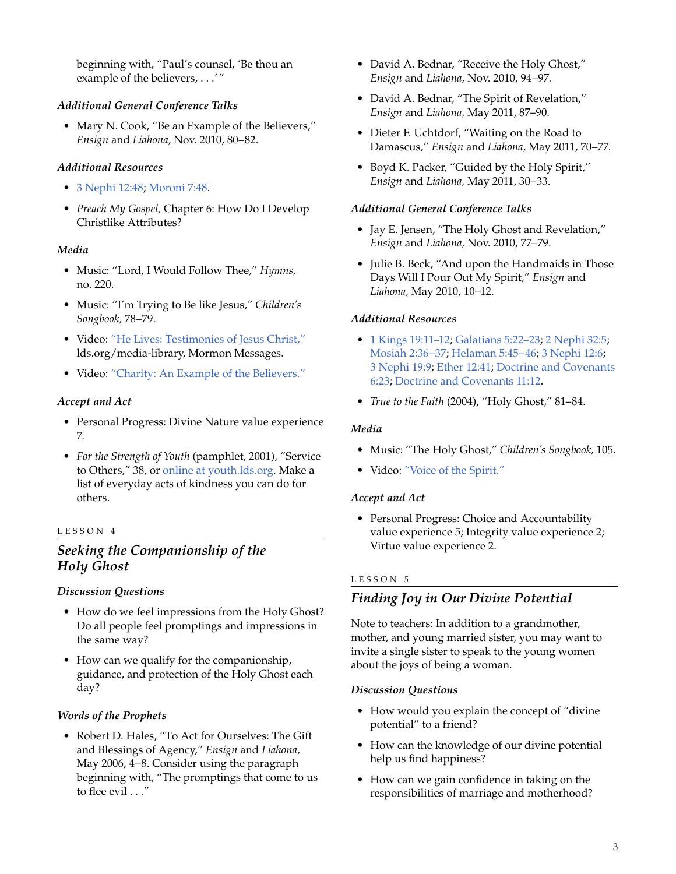beginning with, "Paul's counsel, 'Be thou an example of the believers, . . .'"

# *Additional General Conference Talks*

• Mary N. Cook, "Be an Example of the Believers," *Ensign* and *Liahona,* Nov. 2010, 80–82.

# *Additional Resources*

- 3 [Nephi 12:48;](http://lds.org/scriptures/bofm/3-ne/12.48?lang=eng#48) [Moroni 7:48.](http://lds.org/scriptures/bofm/moro/7.48?lang=eng#48)
- *Preach My Gospel,* Chapter 6: How Do I Develop Christlike Attributes?

# *Media*

- Music: "Lord, I Would Follow Thee," *Hymns,* no. 220.
- Music: "I'm Trying to Be like Jesus," *Children's Songbook,* 78–79.
- Video: ["He Lives: Testimonies of Jesus Christ,"](http://lds.org/ldsorg/v/index.jsp?autoplay=true&index=1&locale=0&sourceId=79bacbcc921b7210VgnVCM100000176f620a____&vgnextoid=bd163ca6e9aa3210VgnVCM1000003a94610aRCRD) lds.org/media-library, Mormon Messages.
- Video: ["Charity: An Example of the Believers."](http://lds.org/ldsorg/v/index.jsp?autoplay=true&index=1&locale=0&sourceId=ab516ef2109b6210VgnVCM100000176f620a____&vgnextoid=bd163ca6e9aa3210VgnVCM1000003a94610aRCRD)

# *Accept and Act*

- Personal Progress: Divine Nature value experience 7.
- *For the Strength of Youth* (pamphlet, 2001), "Service to Others," 38, or [online at youth.lds.org.](http://lds.org/youth/for-the-strength-of-youth/service-to-others) Make a list of everyday acts of kindness you can do for others.

#### LESSON 4

# *Seeking the Companionship of the Holy Ghost*

# *Discussion Questions*

- How do we feel impressions from the Holy Ghost? Do all people feel promptings and impressions in the same way?
- How can we qualify for the companionship, guidance, and protection of the Holy Ghost each day?

# *Words of the Prophets*

• Robert D. Hales, "To Act for Ourselves: The Gift and Blessings of Agency," *Ensign* and *Liahona,* May 2006, 4–8. Consider using the paragraph beginning with, "The promptings that come to us to flee evil . . ."

- David A. Bednar, "Receive the Holy Ghost," *Ensign* and *Liahona,* Nov. 2010, 94–97.
- David A. Bednar, "The Spirit of Revelation," *Ensign* and *Liahona,* May 2011, 87–90.
- Dieter F. Uchtdorf, "Waiting on the Road to Damascus," *Ensign* and *Liahona,* May 2011, 70–77.
- Boyd K. Packer, "Guided by the Holy Spirit," *Ensign* and *Liahona,* May 2011, 30–33.

#### *Additional General Conference Talks*

- Jay E. Jensen, "The Holy Ghost and Revelation," *Ensign* and *Liahona,* Nov. 2010, 77–79.
- Julie B. Beck, "And upon the Handmaids in Those Days Will I Pour Out My Spirit," *Ensign* and *Liahona,* May 2010, 10–12.

# *Additional Resources*

- 1 [Kings 19:11–12;](http://lds.org/scriptures/ot/1-kgs/19.11-12?lang=eng#11) [Galatians 5:22–23](http://lds.org/scriptures/nt/gal/5.22-23?lang=eng#22); 2 [Nephi 32:5;](http://lds.org/scriptures/bofm/2-ne/32.5?lang=eng#5) [Mosiah 2:36–37](http://lds.org/scriptures/bofm/mosiah/2.36-37?lang=eng#36); [Helaman 5:45–46;](http://lds.org/scriptures/bofm/hel/5.45-46?lang=eng#45) 3 [Nephi 12:6](http://lds.org/scriptures/bofm/3-ne/12.6?lang=eng#6); 3 [Nephi 19:9;](http://lds.org/scriptures/bofm/3-ne/19.9?lang=eng#9) [Ether 12:41;](http://lds.org/scriptures/bofm/ether/12.41?lang=eng#41) [Doctrine and Covenants](http://lds.org/scriptures/dc-testament/dc/6.23?lang=eng#23) [6:23](http://lds.org/scriptures/dc-testament/dc/6.23?lang=eng#23); [Doctrine and Covenants 11:12.](http://lds.org/scriptures/dc-testament/dc/11.12?lang=eng#12)
- *True to the Faith* (2004), "Holy Ghost," 81–84.

# *Media*

- Music: "The Holy Ghost," *Children's Songbook,* 105.
- Video: ["Voice of the Spirit."](http://lds.org/ldsorg/v/index.jsp?autoplay=true&index=1&locale=0&sourceId=b35f46452b7ca210VgnVCM100000176f620a____&vgnextoid=bd163ca6e9aa3210VgnVCM1000003a94610aRCRD)

# *Accept and Act*

• Personal Progress: Choice and Accountability value experience 5; Integrity value experience 2; Virtue value experience 2.

# LESSON 5

# *Finding Joy in Our Divine Potential*

Note to teachers: In addition to a grandmother, mother, and young married sister, you may want to invite a single sister to speak to the young women about the joys of being a woman.

#### *Discussion Questions*

- How would you explain the concept of "divine potential" to a friend?
- How can the knowledge of our divine potential help us find happiness?
- How can we gain confidence in taking on the responsibilities of marriage and motherhood?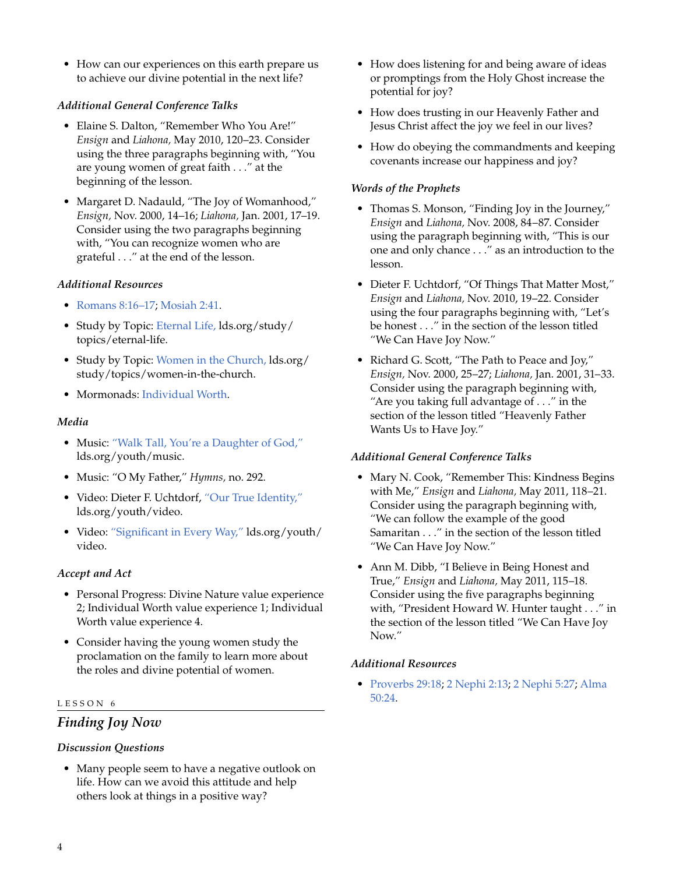• How can our experiences on this earth prepare us to achieve our divine potential in the next life?

# *Additional General Conference Talks*

- Elaine S. Dalton, "Remember Who You Are!" *Ensign* and *Liahona,* May 2010, 120–23. Consider using the three paragraphs beginning with, "You are young women of great faith . . ." at the beginning of the lesson.
- Margaret D. Nadauld, "The Joy of Womanhood," *Ensign,* Nov. 2000, 14–16; *Liahona,* Jan. 2001, 17–19. Consider using the two paragraphs beginning with, "You can recognize women who are grateful . . ." at the end of the lesson.

# *Additional Resources*

- [Romans 8:16–17;](http://lds.org/scriptures/nt/rom/8.16-17?lang=eng#16) [Mosiah 2:41](http://lds.org/scriptures/bofm/mosiah/2.41?lang=eng#41).
- Study by Topic: [Eternal Life,](http://lds.org/study/topics/eternal-life) lds.org/study/ topics/eternal-life.
- Study by Topic: [Women in the Church,](http://lds.org/study/topics/women-in-the-church) lds.org/ study/topics/women-in-the-church.
- Mormonads: [Individual Worth.](http://lds.org/ldsorg/v/index.jsp?vgnextoid=024644f8f206c010VgnVCM1000004d82620aRCRD&locale=0&sourceId=33d51859fa5f8110VgnVCM100000176f620a____#IndividualWorth)

#### *Media*

- Music: ["Walk Tall, You're a Daughter of God,"](http://lds.org/youth/music?lang=eng) lds.org/youth/music.
- Music: "O My Father," *Hymns,* no. 292.
- Video: Dieter F. Uchtdorf, ["Our True Identity,"](http://lds.org/youth/video/our-true-identity?lang=eng) lds.org/youth/video.
- Video: ["Significant in Every Way,"](http://lds.org/youth/video/significant-in-every-way?lang=eng) lds.org/youth/ video.

# *Accept and Act*

- Personal Progress: Divine Nature value experience 2; Individual Worth value experience 1; Individual Worth value experience 4.
- Consider having the young women study the proclamation on the family to learn more about the roles and divine potential of women.

#### LESSON 6

# *Finding Joy Now*

#### *Discussion Questions*

• Many people seem to have a negative outlook on life. How can we avoid this attitude and help others look at things in a positive way?

- How does listening for and being aware of ideas or promptings from the Holy Ghost increase the potential for joy?
- How does trusting in our Heavenly Father and Jesus Christ affect the joy we feel in our lives?
- How do obeying the commandments and keeping covenants increase our happiness and joy?

#### *Words of the Prophets*

- Thomas S. Monson, "Finding Joy in the Journey," *Ensign* and *Liahona,* Nov. 2008, 84–87. Consider using the paragraph beginning with, "This is our one and only chance . . ." as an introduction to the lesson.
- Dieter F. Uchtdorf, "Of Things That Matter Most," *Ensign* and *Liahona,* Nov. 2010, 19–22. Consider using the four paragraphs beginning with, "Let's be honest . . ." in the section of the lesson titled "We Can Have Joy Now."
- Richard G. Scott, "The Path to Peace and Joy," *Ensign,* Nov. 2000, 25–27; *Liahona,* Jan. 2001, 31–33. Consider using the paragraph beginning with, "Are you taking full advantage of . . ." in the section of the lesson titled "Heavenly Father Wants Us to Have Joy."

#### *Additional General Conference Talks*

- Mary N. Cook, "Remember This: Kindness Begins with Me," *Ensign* and *Liahona,* May 2011, 118–21. Consider using the paragraph beginning with, "We can follow the example of the good Samaritan . . ." in the section of the lesson titled "We Can Have Joy Now."
- Ann M. Dibb, "I Believe in Being Honest and True," *Ensign* and *Liahona,* May 2011, 115–18. Consider using the five paragraphs beginning with, "President Howard W. Hunter taught . . ." in the section of the lesson titled "We Can Have Joy Now."

#### *Additional Resources*

• [Proverbs 29:18;](http://lds.org/scriptures/ot/prov/29.18?lang=eng#18) 2 [Nephi 2:13](http://lds.org/scriptures/bofm/2-ne/2.13?lang=eng#13); 2 [Nephi 5:27;](http://lds.org/scriptures/bofm/2-ne/5.27?lang=eng#27) [Alma](http://lds.org/scriptures/bofm/alma/50.24?lang=eng#24) [50:24](http://lds.org/scriptures/bofm/alma/50.24?lang=eng#24).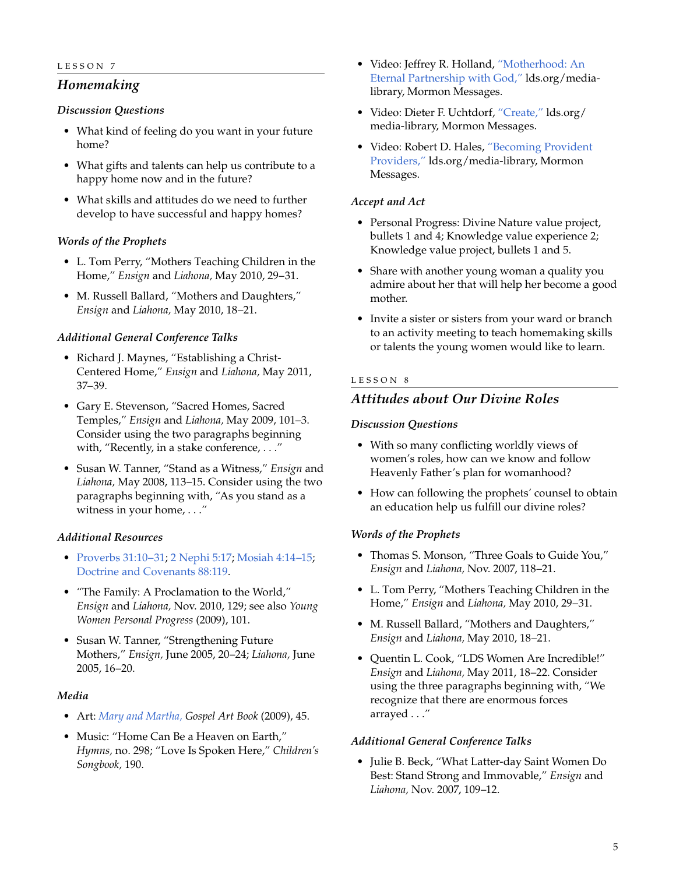# *Homemaking*

#### *Discussion Questions*

- What kind of feeling do you want in your future home?
- What gifts and talents can help us contribute to a happy home now and in the future?
- What skills and attitudes do we need to further develop to have successful and happy homes?

#### *Words of the Prophets*

- L. Tom Perry, "Mothers Teaching Children in the Home," *Ensign* and *Liahona,* May 2010, 29–31.
- M. Russell Ballard, "Mothers and Daughters," *Ensign* and *Liahona,* May 2010, 18–21.

# *Additional General Conference Talks*

- Richard J. Maynes, "Establishing a Christ-Centered Home," *Ensign* and *Liahona,* May 2011, 37–39.
- Gary E. Stevenson, "Sacred Homes, Sacred Temples," *Ensign* and *Liahona,* May 2009, 101–3. Consider using the two paragraphs beginning with, "Recently, in a stake conference, . . ."
- Susan W. Tanner, "Stand as a Witness," *Ensign* and *Liahona,* May 2008, 113–15. Consider using the two paragraphs beginning with, "As you stand as a witness in your home, . . ."

# *Additional Resources*

- [Proverbs 31:10–31;](http://lds.org/scriptures/ot/prov/31.10-31?lang=eng#10) 2 [Nephi 5:17;](http://lds.org/scriptures/bofm/2-ne/5.17?lang=eng#17) [Mosiah 4:14–15;](http://lds.org/scriptures/bofm/mosiah/4.14-15?lang=eng#14) [Doctrine and Covenants 88:119](http://lds.org/scriptures/dc-testament/dc/88.119?lang=eng#119).
- "The Family: A Proclamation to the World," *Ensign* and *Liahona,* Nov. 2010, 129; see also *Young Women Personal Progress* (2009), 101.
- Susan W. Tanner, "Strengthening Future Mothers," *Ensign,* June 2005, 20–24; *Liahona,* June 2005, 16–20.

#### *Media*

- Art: *[Mary and Martha,](http://lds.org/gospellibrary/artbook/images/ArtBook__045_045__MaryAndMartha_Sm___.jpg) Gospel Art Book* (2009), 45.
- Music: "Home Can Be a Heaven on Earth," *Hymns,* no. 298; "Love Is Spoken Here," *Children's Songbook,* 190.
- Video: Jeffrey R. Holland, ["Motherhood: An](http://lds.org/media-library/video/mormon-messages#2010-06-13-motherhood-an-eternal-partnership-with-god) [Eternal Partnership with God,"](http://lds.org/media-library/video/mormon-messages#2010-06-13-motherhood-an-eternal-partnership-with-god) lds.org/medialibrary, Mormon Messages.
- Video: Dieter F. Uchtdorf, ["Create,"](http://lds.org/media-library/video/mormon-messages?lang=eng#2009-02-06-create) lds.org/ media-library, Mormon Messages.
- Video: Robert D. Hales, ["Becoming Provident](http://lds.org/media-library/video/mormon-messages?lang=eng#2010-03-06-becoming-provident-providers) [Providers,"](http://lds.org/media-library/video/mormon-messages?lang=eng#2010-03-06-becoming-provident-providers) lds.org/media-library, Mormon Messages.

#### *Accept and Act*

- Personal Progress: Divine Nature value project, bullets 1 and 4; Knowledge value experience 2; Knowledge value project, bullets 1 and 5.
- Share with another young woman a quality you admire about her that will help her become a good mother.
- Invite a sister or sisters from your ward or branch to an activity meeting to teach homemaking skills or talents the young women would like to learn.

# LESSON 8

# *Attitudes about Our Divine Roles*

#### *Discussion Questions*

- With so many conflicting worldly views of women's roles, how can we know and follow Heavenly Father's plan for womanhood?
- How can following the prophets' counsel to obtain an education help us fulfill our divine roles?

# *Words of the Prophets*

- Thomas S. Monson, "Three Goals to Guide You," *Ensign* and *Liahona,* Nov. 2007, 118–21.
- L. Tom Perry, "Mothers Teaching Children in the Home," *Ensign* and *Liahona,* May 2010, 29–31.
- M. Russell Ballard, "Mothers and Daughters," *Ensign* and *Liahona,* May 2010, 18–21.
- Quentin L. Cook, "LDS Women Are Incredible!" *Ensign* and *Liahona,* May 2011, 18–22. Consider using the three paragraphs beginning with, "We recognize that there are enormous forces arrayed . . ."

#### *Additional General Conference Talks*

• Julie B. Beck, "What Latter-day Saint Women Do Best: Stand Strong and Immovable," *Ensign* and *Liahona,* Nov. 2007, 109–12.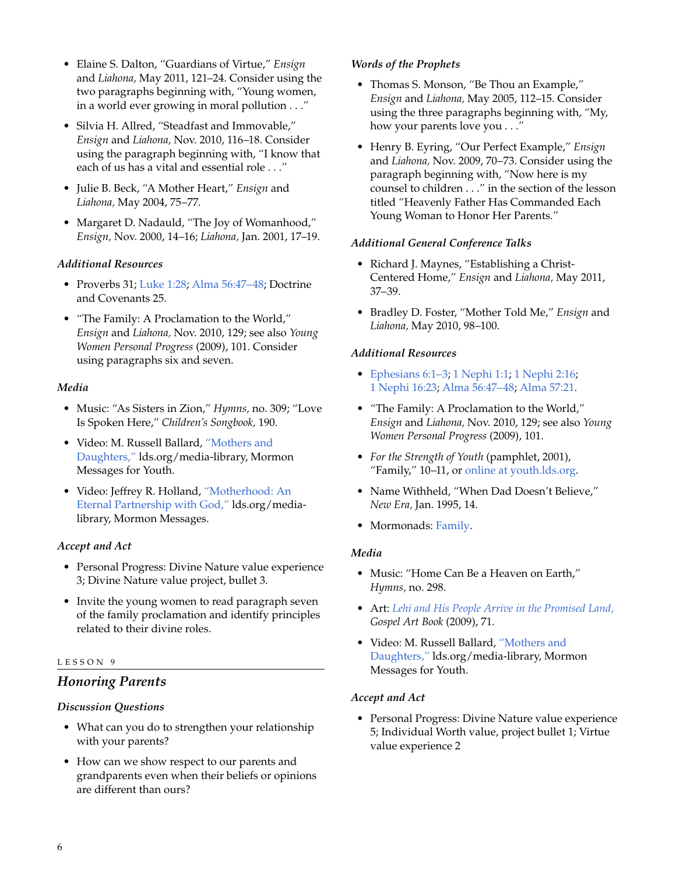- Elaine S. Dalton, "Guardians of Virtue," *Ensign* and *Liahona,* May 2011, 121–24. Consider using the two paragraphs beginning with, "Young women, in a world ever growing in moral pollution . . ."
- Silvia H. Allred, "Steadfast and Immovable," *Ensign* and *Liahona,* Nov. 2010, 116–18. Consider using the paragraph beginning with, "I know that each of us has a vital and essential role . . ."
- Julie B. Beck, "A Mother Heart," *Ensign* and *Liahona,* May 2004, 75–77.
- Margaret D. Nadauld, "The Joy of Womanhood," *Ensign,* Nov. 2000, 14–16; *Liahona,* Jan. 2001, 17–19.

# *Additional Resources*

- Proverbs 31; [Luke 1:28;](http://lds.org/scriptures/nt/luke/1.28?lang=eng#28) [Alma 56:47–48;](http://lds.org/scriptures/bofm/alma/56.47-48?lang=eng#47) Doctrine and Covenants 25.
- "The Family: A Proclamation to the World," *Ensign* and *Liahona,* Nov. 2010, 129; see also *Young Women Personal Progress* (2009), 101. Consider using paragraphs six and seven.

# *Media*

- Music: "As Sisters in Zion," *Hymns,* no. 309; "Love Is Spoken Here," *Children's Songbook,* 190.
- Video: M. Russell Ballard, ["Mothers and](http://lds.org/media-library/video/mormon-messages-for-youth#2010-06-0070-mothers-and-daughters) [Daughters,"](http://lds.org/media-library/video/mormon-messages-for-youth#2010-06-0070-mothers-and-daughters) lds.org/media-library, Mormon Messages for Youth.
- Video: Jeffrey R. Holland, ["Motherhood: An](http://lds.org/media-library/video/mormon-messages#2010-06-13-motherhood-an-eternal-partnership-with-god) [Eternal Partnership with God,"](http://lds.org/media-library/video/mormon-messages#2010-06-13-motherhood-an-eternal-partnership-with-god) lds.org/medialibrary, Mormon Messages.

# *Accept and Act*

- Personal Progress: Divine Nature value experience 3; Divine Nature value project, bullet 3.
- Invite the young women to read paragraph seven of the family proclamation and identify principles related to their divine roles.

# LESSON 9

# *Honoring Parents*

# *Discussion Questions*

- What can you do to strengthen your relationship with your parents?
- How can we show respect to our parents and grandparents even when their beliefs or opinions are different than ours?

# *Words of the Prophets*

- Thomas S. Monson, "Be Thou an Example," *Ensign* and *Liahona,* May 2005, 112–15. Consider using the three paragraphs beginning with, "My, how your parents love you . . ."
- Henry B. Eyring, "Our Perfect Example," *Ensign* and *Liahona,* Nov. 2009, 70–73. Consider using the paragraph beginning with, "Now here is my counsel to children . . ." in the section of the lesson titled "Heavenly Father Has Commanded Each Young Woman to Honor Her Parents."

# *Additional General Conference Talks*

- Richard J. Maynes, "Establishing a Christ-Centered Home," *Ensign* and *Liahona,* May 2011, 37–39.
- Bradley D. Foster, "Mother Told Me," *Ensign* and *Liahona,* May 2010, 98–100.

# *Additional Resources*

- [Ephesians 6:1–3;](http://lds.org/scriptures/nt/eph/6.1-3?lang=eng#1) 1 [Nephi 1:1;](http://lds.org/scriptures/bofm/1-ne/1.1?lang=eng#1) 1 [Nephi 2:16](http://lds.org/scriptures/bofm/1-ne/2.16?lang=eng#16); 1 [Nephi 16:23;](http://lds.org/scriptures/bofm/1-ne/16.23?lang=eng#23) [Alma 56:47–48;](http://lds.org/scriptures/bofm/alma/56.47-48?lang=eng#47) [Alma 57:21](http://lds.org/scriptures/bofm/alma/57.21?lang=eng#21).
- "The Family: A Proclamation to the World," *Ensign* and *Liahona,* Nov. 2010, 129; see also *Young Women Personal Progress* (2009), 101.
- *For the Strength of Youth* (pamphlet, 2001), "Family," 10–11, or [online at youth.lds.org.](http://lds.org/youth/for-the-strength-of-youth/family)
- Name Withheld, "When Dad Doesn't Believe," *New Era,* Jan. 1995, 14.
- Mormonads: [Family.](http://lds.org/ldsorg/v/index.jsp?vgnextoid=024644f8f206c010VgnVCM1000004d82620aRCRD&locale=0&sourceId=2813b4349532b110VgnVCM100000176f620a____#Family)

# *Media*

- Music: "Home Can Be a Heaven on Earth," *Hymns,* no. 298.
- Art: *[Lehi and His People Arrive in the Promised Land,](http://lds.org/gospellibrary/artbook/images/ArtBook__071_071__LehiAndHisPeopleArriveInPromisedLand_Sm___.jpg) Gospel Art Book* (2009), 71.
- Video: M. Russell Ballard, ["Mothers and](http://lds.org/media-library/video/mormon-messages-for-youth#2010-06-0070-mothers-and-daughters) [Daughters,"](http://lds.org/media-library/video/mormon-messages-for-youth#2010-06-0070-mothers-and-daughters) lds.org/media-library, Mormon Messages for Youth.

# *Accept and Act*

• Personal Progress: Divine Nature value experience 5; Individual Worth value, project bullet 1; Virtue value experience 2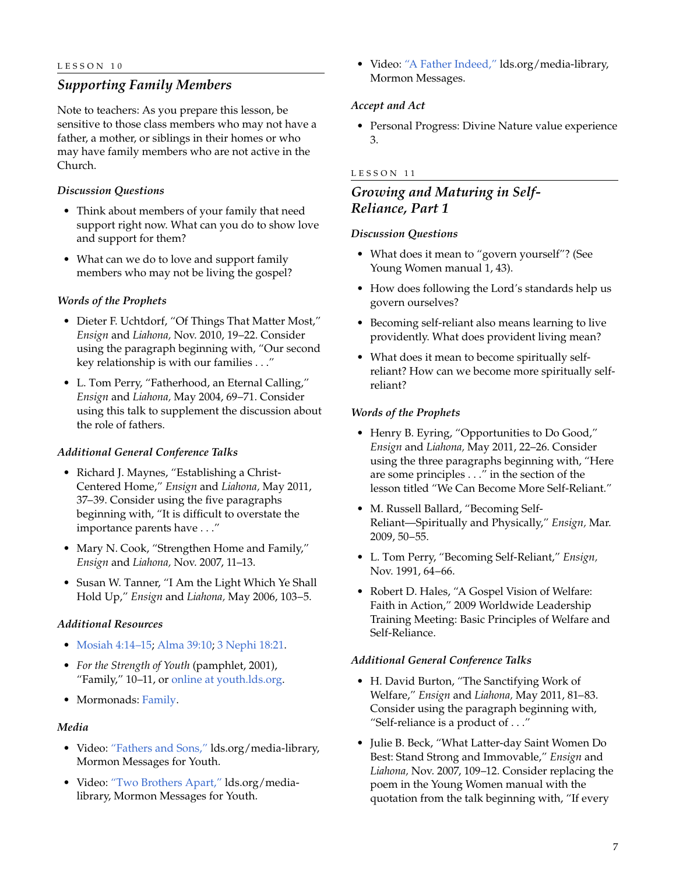# *Supporting Family Members*

Note to teachers: As you prepare this lesson, be sensitive to those class members who may not have a father, a mother, or siblings in their homes or who may have family members who are not active in the Church.

# *Discussion Questions*

- Think about members of your family that need support right now. What can you do to show love and support for them?
- What can we do to love and support family members who may not be living the gospel?

#### *Words of the Prophets*

- Dieter F. Uchtdorf, "Of Things That Matter Most," *Ensign* and *Liahona,* Nov. 2010, 19–22. Consider using the paragraph beginning with, "Our second key relationship is with our families . . ."
- L. Tom Perry, "Fatherhood, an Eternal Calling," *Ensign* and *Liahona,* May 2004, 69–71. Consider using this talk to supplement the discussion about the role of fathers.

#### *Additional General Conference Talks*

- Richard J. Maynes, "Establishing a Christ-Centered Home," *Ensign* and *Liahona,* May 2011, 37–39. Consider using the five paragraphs beginning with, "It is difficult to overstate the importance parents have . . ."
- Mary N. Cook, "Strengthen Home and Family," *Ensign* and *Liahona,* Nov. 2007, 11–13.
- Susan W. Tanner, "I Am the Light Which Ye Shall Hold Up," *Ensign* and *Liahona,* May 2006, 103–5.

#### *Additional Resources*

- [Mosiah 4:14–15](http://lds.org/scriptures/bofm/mosiah/4.14-15?lang=eng#14); [Alma 39:10](http://lds.org/scriptures/bofm/alma/39.10?lang=eng#10); 3 [Nephi 18:21](http://lds.org/scriptures/bofm/3-ne/18.21?lang=eng#21).
- *For the Strength of Youth* (pamphlet, 2001), "Family," 10–11, or [online at youth.lds.org.](http://lds.org/youth/for-the-strength-of-youth/family)
- Mormonads: [Family.](http://lds.org/ldsorg/v/index.jsp?vgnextoid=024644f8f206c010VgnVCM1000004d82620aRCRD&locale=0&sourceId=2813b4349532b110VgnVCM100000176f620a____#Family)

#### *Media*

- Video: ["Fathers and Sons,"](http://lds.org/youth/video/fathers-and-sons?lang=eng) lds.org/media-library, Mormon Messages for Youth.
- Video: ["Two Brothers Apart,"](http://lds.org/youth/video/two-brothers-apart?lang=eng) lds.org/medialibrary, Mormon Messages for Youth.

• Video: ["A Father Indeed,"](http://lds.org/media-library/video/mormon-messages?lang=eng#2009-06-25-a-father-indeed) lds.org/media-library, Mormon Messages.

#### *Accept and Act*

• Personal Progress: Divine Nature value experience 3.

#### LESSON 11

# *Growing and Maturing in Self-Reliance, Part 1*

#### *Discussion Questions*

- What does it mean to "govern yourself"? (See Young Women manual 1, 43).
- How does following the Lord's standards help us govern ourselves?
- Becoming self-reliant also means learning to live providently. What does provident living mean?
- What does it mean to become spiritually selfreliant? How can we become more spiritually selfreliant?

#### *Words of the Prophets*

- Henry B. Eyring, "Opportunities to Do Good," *Ensign* and *Liahona,* May 2011, 22–26. Consider using the three paragraphs beginning with, "Here are some principles . . ." in the section of the lesson titled "We Can Become More Self-Reliant."
- M. Russell Ballard, "Becoming Self-Reliant—Spiritually and Physically," *Ensign,* Mar. 2009, 50–55.
- L. Tom Perry, "Becoming Self-Reliant," *Ensign,* Nov. 1991, 64–66.
- Robert D. Hales, "A Gospel Vision of Welfare: Faith in Action," 2009 Worldwide Leadership Training Meeting: Basic Principles of Welfare and Self-Reliance.

#### *Additional General Conference Talks*

- H. David Burton, "The Sanctifying Work of Welfare," *Ensign* and *Liahona,* May 2011, 81–83. Consider using the paragraph beginning with, "Self-reliance is a product of . . ."
- Julie B. Beck, "What Latter-day Saint Women Do Best: Stand Strong and Immovable," *Ensign* and *Liahona,* Nov. 2007, 109–12. Consider replacing the poem in the Young Women manual with the quotation from the talk beginning with, "If every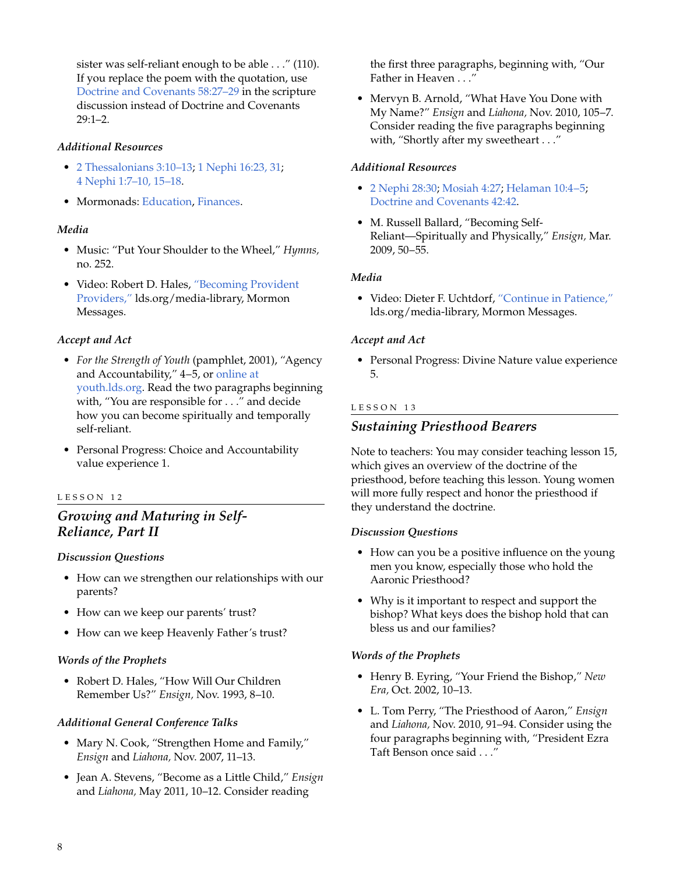sister was self-reliant enough to be able . . ." (110). If you replace the poem with the quotation, use [Doctrine and Covenants 58:27–29](http://lds.org/scriptures/dc-testament/dc/58.27-29?lang=eng#27) in the scripture discussion instead of Doctrine and Covenants 29:1–2.

# *Additional Resources*

- 2 [Thessalonians 3:10–13](http://lds.org/scriptures/nt/2-thes/3.10-13?lang=eng#10); 1 [Nephi 16:23, 31;](http://lds.org/scriptures/bofm/1-ne/16.23,31?lang=eng#23) 4 [Nephi 1:7–10, 15–18](http://lds.org/scriptures/bofm/4-ne/1.7-10,15-18?lang=eng#7).
- Mormonads: [Education,](http://lds.org/ldsorg/v/index.jsp?vgnextoid=024644f8f206c010VgnVCM1000004d82620aRCRD&locale=0&sourceId=c1c41859fa5f8110VgnVCM100000176f620a____#Education) [Finances.](http://lds.org/ldsorg/v/index.jsp?vgnextoid=024644f8f206c010VgnVCM1000004d82620aRCRD&locale=0&sourceId=2ac3b4349532b110VgnVCM100000176f620a____#Finances)

# *Media*

- Music: "Put Your Shoulder to the Wheel," *Hymns,* no. 252.
- Video: Robert D. Hales, ["Becoming Provident](http://lds.org/media-library/video/mormon-messages#2010-03-06-becoming-provident-providers) [Providers,"](http://lds.org/media-library/video/mormon-messages#2010-03-06-becoming-provident-providers) lds.org/media-library, Mormon Messages.

# *Accept and Act*

- *For the Strength of Youth* (pamphlet, 2001), "Agency and Accountability," 4–5, or [online at](http://lds.org/youth/for-the-strength-of-youth/agency-and-accountability) [youth.lds.org.](http://lds.org/youth/for-the-strength-of-youth/agency-and-accountability) Read the two paragraphs beginning with, "You are responsible for . . ." and decide how you can become spiritually and temporally self-reliant.
- Personal Progress: Choice and Accountability value experience 1.

# LESSON 12

# *Growing and Maturing in Self-Reliance, Part II*

# *Discussion Questions*

- How can we strengthen our relationships with our parents?
- How can we keep our parents' trust?
- How can we keep Heavenly Father's trust?

# *Words of the Prophets*

• Robert D. Hales, "How Will Our Children Remember Us?" *Ensign,* Nov. 1993, 8–10.

# *Additional General Conference Talks*

- Mary N. Cook, "Strengthen Home and Family," *Ensign* and *Liahona,* Nov. 2007, 11–13.
- Jean A. Stevens, "Become as a Little Child," *Ensign* and *Liahona,* May 2011, 10–12. Consider reading

the first three paragraphs, beginning with, "Our Father in Heaven . . ."

• Mervyn B. Arnold, "What Have You Done with My Name?" *Ensign* and *Liahona,* Nov. 2010, 105–7. Consider reading the five paragraphs beginning with, "Shortly after my sweetheart . . ."

# *Additional Resources*

- 2 [Nephi 28:30;](http://lds.org/scriptures/bofm/2-ne/28.30?lang=eng#30) [Mosiah 4:27;](http://lds.org/scriptures/bofm/mosiah/4.27?lang=eng#27) [Helaman 10:4–5](http://lds.org/scriptures/bofm/hel/10.4-5?lang=eng#4); [Doctrine and Covenants 42:42.](http://lds.org/scriptures/dc-testament/dc/42.42?lang=eng#42)
- M. Russell Ballard, "Becoming Self-Reliant—Spiritually and Physically," *Ensign,* Mar. 2009, 50–55.

# *Media*

• Video: Dieter F. Uchtdorf, ["Continue in Patience,"](http://lds.org/ldsorg/v/index.jsp?autoplay=true&index=1&locale=0&sourceId=2cca389a31a5b210VgnVCM100000176f620a____&vgnextoid=bd163ca6e9aa3210VgnVCM1000003a94610aRCRD) lds.org/media-library, Mormon Messages.

# *Accept and Act*

• Personal Progress: Divine Nature value experience 5.

# LESSON 13

# *Sustaining Priesthood Bearers*

Note to teachers: You may consider teaching lesson 15, which gives an overview of the doctrine of the priesthood, before teaching this lesson. Young women will more fully respect and honor the priesthood if they understand the doctrine.

# *Discussion Questions*

- How can you be a positive influence on the young men you know, especially those who hold the Aaronic Priesthood?
- Why is it important to respect and support the bishop? What keys does the bishop hold that can bless us and our families?

# *Words of the Prophets*

- Henry B. Eyring, "Your Friend the Bishop," *New Era,* Oct. 2002, 10–13.
- L. Tom Perry, "The Priesthood of Aaron," *Ensign* and *Liahona,* Nov. 2010, 91–94. Consider using the four paragraphs beginning with, "President Ezra Taft Benson once said . . ."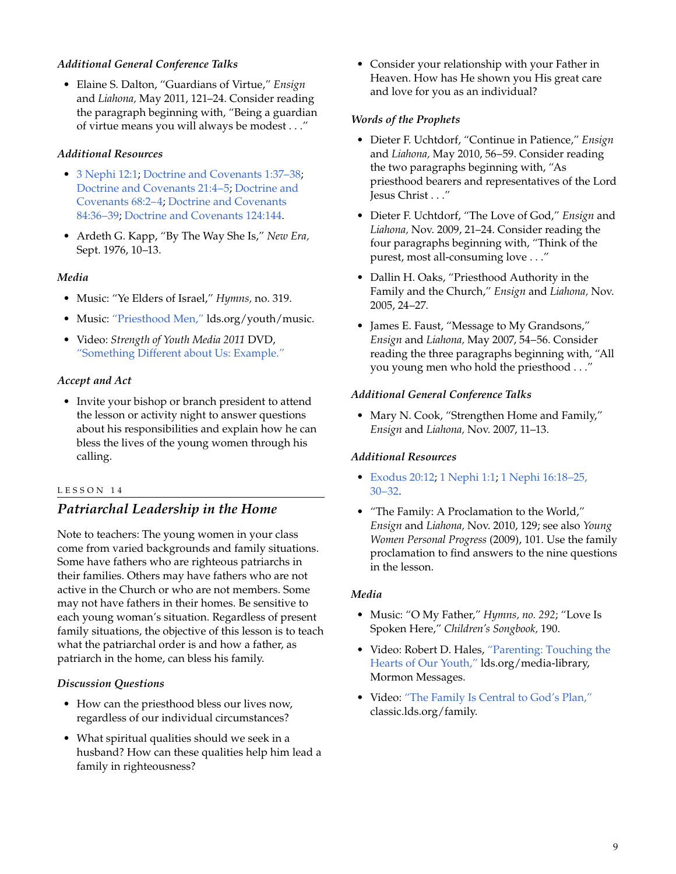# *Additional General Conference Talks*

• Elaine S. Dalton, "Guardians of Virtue," *Ensign* and *Liahona,* May 2011, 121–24. Consider reading the paragraph beginning with, "Being a guardian of virtue means you will always be modest . . ."

# *Additional Resources*

- 3 [Nephi 12:1;](http://lds.org/scriptures/bofm/3-ne/12.1?lang=eng#1) [Doctrine and Covenants 1:37–38](http://lds.org/scriptures/dc-testament/dc/1.37-38?lang=eng#37); [Doctrine and Covenants 21:4–5;](http://lds.org/scriptures/dc-testament/dc/21.4-5?lang=eng#4) [Doctrine and](http://lds.org/scriptures/dc-testament/dc/68.2-4?lang=eng#2) [Covenants 68:2–4](http://lds.org/scriptures/dc-testament/dc/68.2-4?lang=eng#2); [Doctrine and Covenants](http://lds.org/scriptures/dc-testament/dc/84.36-39?lang=eng#36) [84:36–39;](http://lds.org/scriptures/dc-testament/dc/84.36-39?lang=eng#36) [Doctrine and Covenants 124:144](http://lds.org/scriptures/dc-testament/dc/124.144?lang=eng#144).
- Ardeth G. Kapp, "By The Way She Is," *New Era,* Sept. 1976, 10–13.

# *Media*

- Music: "Ye Elders of Israel," *Hymns,* no. 319.
- Music: ["Priesthood Men,"](http://lds.org/youth/music?lang=eng) lds.org/youth/music.
- Video: *Strength of Youth Media 2011* DVD, ["Something Different about Us: Example."](http://lds.org/youth/video/something-different-about-us-example?lang=eng)

# *Accept and Act*

• Invite your bishop or branch president to attend the lesson or activity night to answer questions about his responsibilities and explain how he can bless the lives of the young women through his calling.

#### LESSON 14

# *Patriarchal Leadership in the Home*

Note to teachers: The young women in your class come from varied backgrounds and family situations. Some have fathers who are righteous patriarchs in their families. Others may have fathers who are not active in the Church or who are not members. Some may not have fathers in their homes. Be sensitive to each young woman's situation. Regardless of present family situations, the objective of this lesson is to teach what the patriarchal order is and how a father, as patriarch in the home, can bless his family.

# *Discussion Questions*

- How can the priesthood bless our lives now, regardless of our individual circumstances?
- What spiritual qualities should we seek in a husband? How can these qualities help him lead a family in righteousness?

• Consider your relationship with your Father in Heaven. How has He shown you His great care and love for you as an individual?

# *Words of the Prophets*

- Dieter F. Uchtdorf, "Continue in Patience," *Ensign* and *Liahona,* May 2010, 56–59. Consider reading the two paragraphs beginning with, "As priesthood bearers and representatives of the Lord Jesus Christ . . ."
- Dieter F. Uchtdorf, "The Love of God," *Ensign* and *Liahona,* Nov. 2009, 21–24. Consider reading the four paragraphs beginning with, "Think of the purest, most all-consuming love . . ."
- Dallin H. Oaks, "Priesthood Authority in the Family and the Church," *Ensign* and *Liahona,* Nov. 2005, 24–27.
- James E. Faust, "Message to My Grandsons," *Ensign* and *Liahona,* May 2007, 54–56. Consider reading the three paragraphs beginning with, "All you young men who hold the priesthood . . ."

# *Additional General Conference Talks*

• Mary N. Cook, "Strengthen Home and Family," *Ensign* and *Liahona,* Nov. 2007, 11–13.

# *Additional Resources*

- [Exodus 20:12;](http://lds.org/scriptures/ot/ex/20.12?lang=eng#12) 1 [Nephi 1:1;](http://lds.org/scriptures/bofm/1-ne/1.1?lang=eng#1) 1 [Nephi 16:18–25,](http://lds.org/scriptures/bofm/1-ne/16.18-25,30-32?lang=eng#18) [30–32](http://lds.org/scriptures/bofm/1-ne/16.18-25,30-32?lang=eng#18).
- "The Family: A Proclamation to the World," *Ensign* and *Liahona,* Nov. 2010, 129; see also *Young Women Personal Progress* (2009), 101. Use the family proclamation to find answers to the nine questions in the lesson.

# *Media*

- Music: "O My Father," *Hymns, no. 292*; "Love Is Spoken Here," *Children's Songbook,* 190.
- Video: Robert D. Hales, ["Parenting: Touching the](http://lds.org/ldsorg/v/index.jsp?autoplay=true&index=1&locale=0&sourceId=d7b3c4ac4418a210VgnVCM100000176f620a____&vgnextoid=bd163ca6e9aa3210VgnVCM1000003a94610aRCRD) [Hearts of Our Youth,"](http://lds.org/ldsorg/v/index.jsp?autoplay=true&index=1&locale=0&sourceId=d7b3c4ac4418a210VgnVCM100000176f620a____&vgnextoid=bd163ca6e9aa3210VgnVCM1000003a94610aRCRD) lds.org/media-library, Mormon Messages.
- Video: ["The Family Is Central to God's Plan,"](http://classic.lds.org/family/?lang=eng#current) classic.lds.org/family.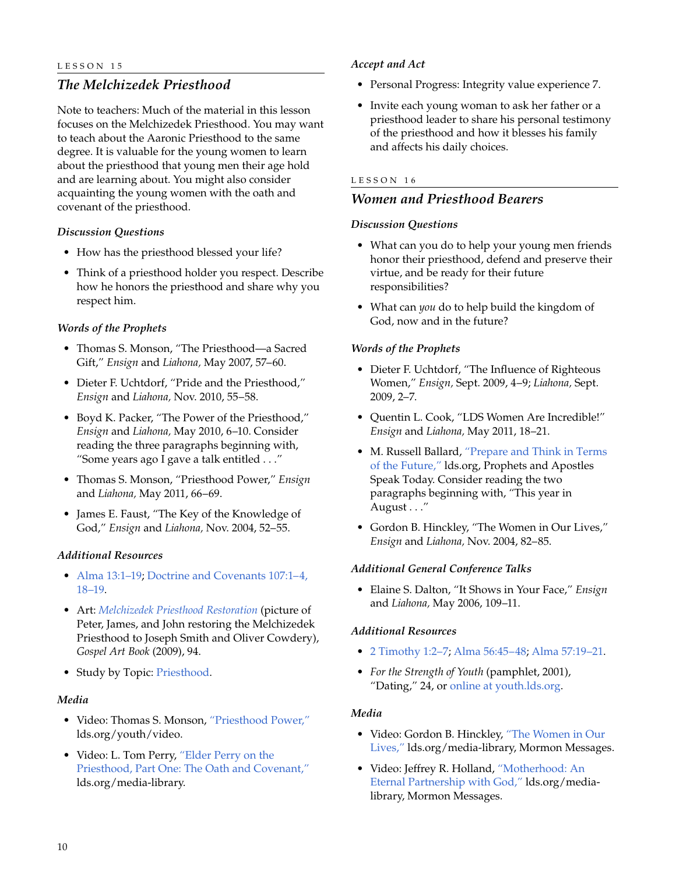# *The Melchizedek Priesthood*

Note to teachers: Much of the material in this lesson focuses on the Melchizedek Priesthood. You may want to teach about the Aaronic Priesthood to the same degree. It is valuable for the young women to learn about the priesthood that young men their age hold and are learning about. You might also consider acquainting the young women with the oath and covenant of the priesthood.

#### *Discussion Questions*

- How has the priesthood blessed your life?
- Think of a priesthood holder you respect. Describe how he honors the priesthood and share why you respect him.

#### *Words of the Prophets*

- Thomas S. Monson, "The Priesthood—a Sacred Gift," *Ensign* and *Liahona,* May 2007, 57–60.
- Dieter F. Uchtdorf, "Pride and the Priesthood," *Ensign* and *Liahona,* Nov. 2010, 55–58.
- Boyd K. Packer, "The Power of the Priesthood," *Ensign* and *Liahona,* May 2010, 6–10. Consider reading the three paragraphs beginning with, "Some years ago I gave a talk entitled . . ."
- Thomas S. Monson, "Priesthood Power," *Ensign* and *Liahona,* May 2011, 66–69.
- James E. Faust, "The Key of the Knowledge of God," *Ensign* and *Liahona,* Nov. 2004, 52–55.

#### *Additional Resources*

- [Alma 13:1–19](http://lds.org/scriptures/bofm/alma/13.1-19?lang=eng#1); [Doctrine and Covenants 107:1–4,](http://lds.org/scriptures/dc-testament/dc/107.1-4,18-19?lang=eng#1) [18–19](http://lds.org/scriptures/dc-testament/dc/107.1-4,18-19?lang=eng#1).
- Art: *[Melchizedek Priesthood Restoration](http://lds.org/gospellibrary/artbook/images/ArtBook__094_094__MelchizedekPriesthoodRestoration_Sm___.jpg)* (picture of Peter, James, and John restoring the Melchizedek Priesthood to Joseph Smith and Oliver Cowdery), *Gospel Art Book* (2009), 94.
- Study by Topic: [Priesthood.](http://lds.org/study/topics/priesthood)

#### *Media*

- Video: Thomas S. Monson, ["Priesthood Power,"](http://lds.org/youth/video/priesthood-power?lang=eng) lds.org/youth/video.
- Video: L. Tom Perry, ["Elder Perry on the](http://lds.org/study/prophets-speak-today/unto-all-the-world/oath-covenant-seriously?lang=eng) [Priesthood, Part One: The Oath and Covenant,"](http://lds.org/study/prophets-speak-today/unto-all-the-world/oath-covenant-seriously?lang=eng) lds.org/media-library.

#### *Accept and Act*

- Personal Progress: Integrity value experience 7.
- Invite each young woman to ask her father or a priesthood leader to share his personal testimony of the priesthood and how it blesses his family and affects his daily choices.

#### LESSON 16

# *Women and Priesthood Bearers*

#### *Discussion Questions*

- What can you do to help your young men friends honor their priesthood, defend and preserve their virtue, and be ready for their future responsibilities?
- What can *you* do to help build the kingdom of God, now and in the future?

#### *Words of the Prophets*

- Dieter F. Uchtdorf, "The Influence of Righteous Women," *Ensign,* Sept. 2009, 4–9; *Liahona,* Sept. 2009, 2–7.
- Quentin L. Cook, "LDS Women Are Incredible!" *Ensign* and *Liahona,* May 2011, 18–21.
- M. Russell Ballard, ["Prepare and Think in Terms](http://lds.org/study/prophets-speak-today/in-terms-of-the-future?lang=eng) [of the Future,"](http://lds.org/study/prophets-speak-today/in-terms-of-the-future?lang=eng) lds.org, Prophets and Apostles Speak Today. Consider reading the two paragraphs beginning with, "This year in August . . ."
- Gordon B. Hinckley, "The Women in Our Lives," *Ensign* and *Liahona,* Nov. 2004, 82–85.

#### *Additional General Conference Talks*

• Elaine S. Dalton, "It Shows in Your Face," *Ensign* and *Liahona,* May 2006, 109–11.

# *Additional Resources*

- 2 [Timothy 1:2–7](http://lds.org/scriptures/nt/2-tim/1.2-7?lang=eng#2); [Alma 56:45–48;](http://lds.org/scriptures/bofm/alma/56.45-48?lang=eng#45) [Alma 57:19–21.](http://lds.org/scriptures/bofm/alma/57.19-21?lang=eng#19)
- *For the Strength of Youth* (pamphlet, 2001), "Dating," 24, or [online at youth.lds.org.](http://lds.org/youth/for-the-strength-of-youth/dating)

#### *Media*

- Video: Gordon B. Hinckley, ["The Women in Our](http://lds.org/ldsorg/v/index.jsp?autoplay=true&index=3&locale=0&sourceId=9dbe115277f06210VgnVCM100000176f620a____&vgnextoid=bd163ca6e9aa3210VgnVCM1000003a94610aRCRD) [Lives,"](http://lds.org/ldsorg/v/index.jsp?autoplay=true&index=3&locale=0&sourceId=9dbe115277f06210VgnVCM100000176f620a____&vgnextoid=bd163ca6e9aa3210VgnVCM1000003a94610aRCRD) lds.org/media-library, Mormon Messages.
- Video: Jeffrey R. Holland, ["Motherhood: An](http://lds.org/ldsorg/v/index.jsp?autoplay=true&index=1&locale=0&sourceId=852721bf16a89210VgnVCM100000176f620a____&vgnextoid=bd163ca6e9aa3210VgnVCM1000003a94610aRCRD) [Eternal Partnership with God,"](http://lds.org/ldsorg/v/index.jsp?autoplay=true&index=1&locale=0&sourceId=852721bf16a89210VgnVCM100000176f620a____&vgnextoid=bd163ca6e9aa3210VgnVCM1000003a94610aRCRD) lds.org/medialibrary, Mormon Messages.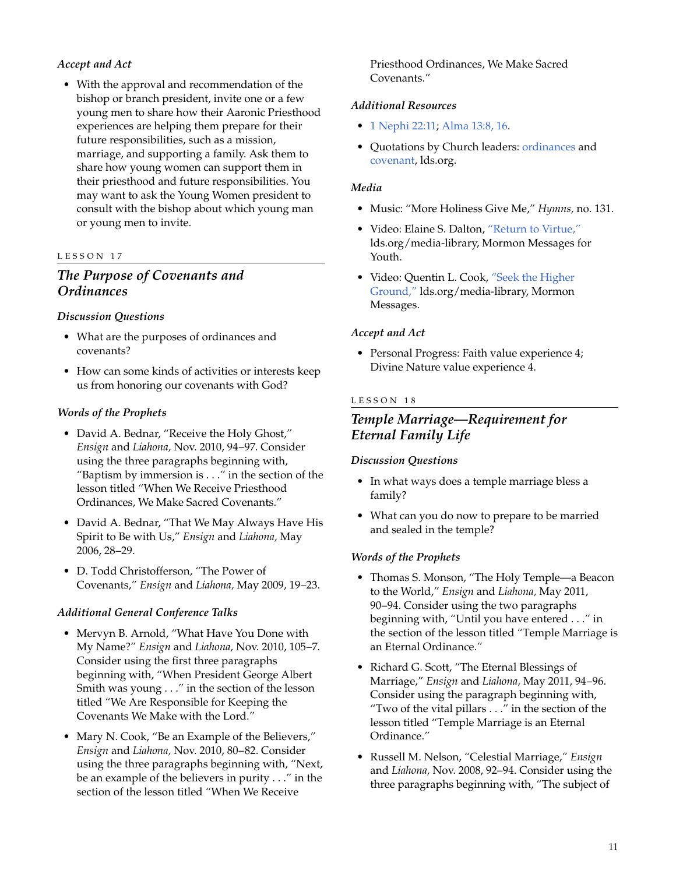# *Accept and Act*

• With the approval and recommendation of the bishop or branch president, invite one or a few young men to share how their Aaronic Priesthood experiences are helping them prepare for their future responsibilities, such as a mission, marriage, and supporting a family. Ask them to share how young women can support them in their priesthood and future responsibilities. You may want to ask the Young Women president to consult with the bishop about which young man or young men to invite.

#### LESSON 17

# *The Purpose of Covenants and Ordinances*

#### *Discussion Questions*

- What are the purposes of ordinances and covenants?
- How can some kinds of activities or interests keep us from honoring our covenants with God?

#### *Words of the Prophets*

- David A. Bednar, "Receive the Holy Ghost," *Ensign* and *Liahona,* Nov. 2010, 94–97. Consider using the three paragraphs beginning with, "Baptism by immersion is . . ." in the section of the lesson titled "When We Receive Priesthood Ordinances, We Make Sacred Covenants."
- David A. Bednar, "That We May Always Have His Spirit to Be with Us," *Ensign* and *Liahona,* May 2006, 28–29.
- D. Todd Christofferson, "The Power of Covenants," *Ensign* and *Liahona,* May 2009, 19–23.

#### *Additional General Conference Talks*

- Mervyn B. Arnold, "What Have You Done with My Name?" *Ensign* and *Liahona,* Nov. 2010, 105–7. Consider using the first three paragraphs beginning with, "When President George Albert Smith was young . . ." in the section of the lesson titled "We Are Responsible for Keeping the Covenants We Make with the Lord."
- Mary N. Cook, "Be an Example of the Believers," *Ensign* and *Liahona,* Nov. 2010, 80–82. Consider using the three paragraphs beginning with, "Next, be an example of the believers in purity . . ." in the section of the lesson titled "When We Receive

Priesthood Ordinances, We Make Sacred Covenants."

#### *Additional Resources*

- 1 [Nephi 22:11](http://lds.org/scriptures/bofm/1-ne/22.11?lang=eng#11); [Alma 13:8, 16.](http://lds.org/scriptures/bofm/alma/13.8,16?lang=eng#8)
- Quotations by Church leaders: [ordinances](http://lds.org/study/topics/ordinances) and [covenant,](http://lds.org/study/topics/covenant) lds.org.

#### *Media*

- Music: "More Holiness Give Me," *Hymns,* no. 131.
- Video: Elaine S. Dalton, ["Return to Virtue,"](http://lds.org/youth/video/return-to-virtue?lang=eng) lds.org/media-library, Mormon Messages for Youth.
- Video: Quentin L. Cook, ["Seek the Higher](http://lds.org/ldsorg/v/index.jsp?autoplay=true&index=2&locale=0&sourceId=32bc029c9a228210VgnVCM100000176f620a____&vgnextoid=bd163ca6e9aa3210VgnVCM1000003a94610aRCRD) [Ground,"](http://lds.org/ldsorg/v/index.jsp?autoplay=true&index=2&locale=0&sourceId=32bc029c9a228210VgnVCM100000176f620a____&vgnextoid=bd163ca6e9aa3210VgnVCM1000003a94610aRCRD) lds.org/media-library, Mormon Messages.

#### *Accept and Act*

• Personal Progress: Faith value experience 4; Divine Nature value experience 4.

#### LESSON 18

# *Temple Marriage—Requirement for Eternal Family Life*

#### *Discussion Questions*

- In what ways does a temple marriage bless a family?
- What can you do now to prepare to be married and sealed in the temple?

#### *Words of the Prophets*

- Thomas S. Monson, "The Holy Temple—a Beacon to the World," *Ensign* and *Liahona,* May 2011, 90–94. Consider using the two paragraphs beginning with, "Until you have entered . . ." in the section of the lesson titled "Temple Marriage is an Eternal Ordinance."
- Richard G. Scott, "The Eternal Blessings of Marriage," *Ensign* and *Liahona,* May 2011, 94–96. Consider using the paragraph beginning with, "Two of the vital pillars . . ." in the section of the lesson titled "Temple Marriage is an Eternal Ordinance."
- Russell M. Nelson, "Celestial Marriage," *Ensign* and *Liahona,* Nov. 2008, 92–94. Consider using the three paragraphs beginning with, "The subject of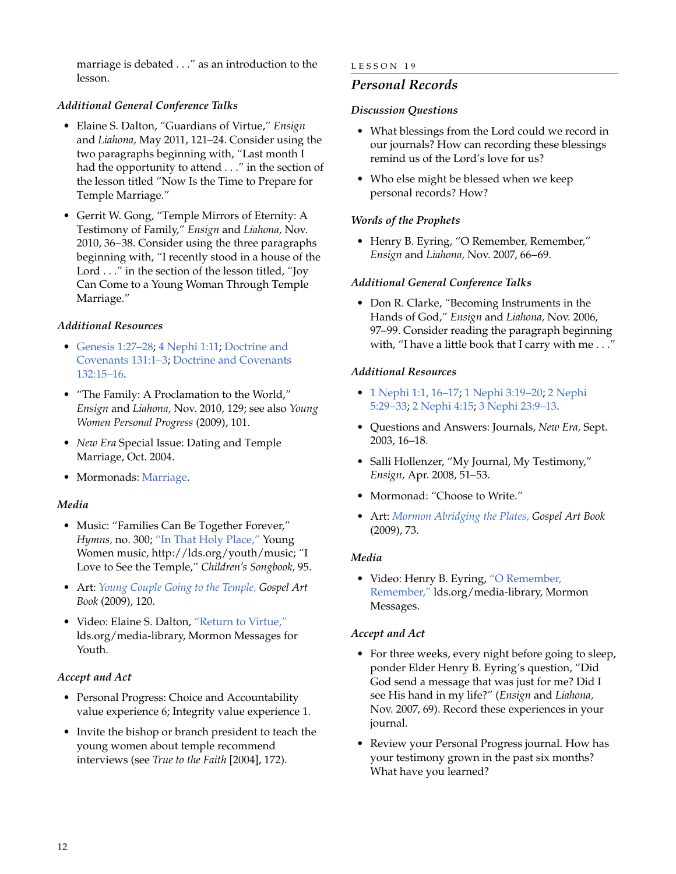marriage is debated . . ." as an introduction to the lesson.

# *Additional General Conference Talks*

- Elaine S. Dalton, "Guardians of Virtue," *Ensign* and *Liahona,* May 2011, 121–24. Consider using the two paragraphs beginning with, "Last month I had the opportunity to attend . . ." in the section of the lesson titled "Now Is the Time to Prepare for Temple Marriage."
- Gerrit W. Gong, "Temple Mirrors of Eternity: A Testimony of Family," *Ensign* and *Liahona,* Nov. 2010, 36–38. Consider using the three paragraphs beginning with, "I recently stood in a house of the Lord . . ." in the section of the lesson titled, "Joy Can Come to a Young Woman Through Temple Marriage."

# *Additional Resources*

- [Genesis 1:27–28;](http://lds.org/scriptures/ot/gen/1.27-28?lang=eng#27) 4 [Nephi 1:11;](http://lds.org/scriptures/bofm/4-ne/1.11?lang=eng#11) [Doctrine and](http://lds.org/scriptures/dc-testament/dc/131.1-3?lang=eng#1) [Covenants 131:1–3;](http://lds.org/scriptures/dc-testament/dc/131.1-3?lang=eng#1) [Doctrine and Covenants](http://lds.org/scriptures/dc-testament/dc/132.15-16?lang=eng#15) [132:15–16](http://lds.org/scriptures/dc-testament/dc/132.15-16?lang=eng#15).
- "The Family: A Proclamation to the World," *Ensign* and *Liahona,* Nov. 2010, 129; see also *Young Women Personal Progress* (2009), 101.
- *New Era* Special Issue: Dating and Temple Marriage, Oct. 2004.
- Mormonads: [Marriage](http://lds.org/ldsorg/v/index.jsp?vgnextoid=024644f8f206c010VgnVCM1000004d82620aRCRD&locale=0&sourceId=5ce6b4349532b110VgnVCM100000176f620a____#Marriage).

#### *Media*

- Music: "Families Can Be Together Forever," *Hymns,* no. 300; ["In That Holy Place,"](http://lds.org/youth/music) Young Women music, http://lds.org/youth/music; "I Love to See the Temple," *Children's Songbook,* 95.
- Art: *[Young Couple Going to the Temple,](http://lds.org/gospellibrary/artbook/images/ArtBook__120_120__YoungCoupleGoingToTheTemple_Sm___.jpg) Gospel Art Book* (2009), 120.
- Video: Elaine S. Dalton, ["Return to Virtue,"](http://lds.org/youth/video/return-to-virtue?lang=eng) lds.org/media-library, Mormon Messages for Youth.

# *Accept and Act*

- Personal Progress: Choice and Accountability value experience 6; Integrity value experience 1.
- Invite the bishop or branch president to teach the young women about temple recommend interviews (see *True to the Faith* [2004], 172).

#### LESSON 19

# *Personal Records*

#### *Discussion Questions*

- What blessings from the Lord could we record in our journals? How can recording these blessings remind us of the Lord's love for us?
- Who else might be blessed when we keep personal records? How?

#### *Words of the Prophets*

• Henry B. Eyring, "O Remember, Remember," *Ensign* and *Liahona,* Nov. 2007, 66–69.

#### *Additional General Conference Talks*

• Don R. Clarke, "Becoming Instruments in the Hands of God," *Ensign* and *Liahona,* Nov. 2006, 97–99. Consider reading the paragraph beginning with, "I have a little book that I carry with me . . ."

#### *Additional Resources*

- 1 [Nephi 1:1, 16–17;](http://lds.org/scriptures/bofm/1-ne/1.1,16-17?lang=eng#1) 1 [Nephi 3:19–20](http://lds.org/scriptures/bofm/1-ne/3.19-20?lang=eng#19); 2 [Nephi](http://lds.org/scriptures/bofm/2-ne/5.29-33?lang=eng#29) [5:29–33;](http://lds.org/scriptures/bofm/2-ne/5.29-33?lang=eng#29) 2 [Nephi 4:15](http://lds.org/scriptures/bofm/2-ne/4.15?lang=eng#15); 3 [Nephi 23:9–13](http://lds.org/scriptures/bofm/3-ne/23.9-13?lang=eng#9).
- Questions and Answers: Journals, *New Era,* Sept. 2003, 16–18.
- Salli Hollenzer, "My Journal, My Testimony," *Ensign,* Apr. 2008, 51–53.
- Mormonad: "Choose to Write."
- Art: *[Mormon Abridging the Plates,](http://lds.org/gospellibrary/artbook/images/ArtBook__073_073__MormonAbridgingThePlates_Sm___.jpg) Gospel Art Book* (2009), 73.

#### *Media*

• Video: Henry B. Eyring, ["O Remember,](http://lds.org/ldsorg/v/index.jsp?autoplay=true&index=4&locale=0&sourceId=dcceb0333ee92210VgnVCM100000176f620a____&vgnextoid=bd163ca6e9aa3210VgnVCM1000003a94610aRCRD) [Remember,"](http://lds.org/ldsorg/v/index.jsp?autoplay=true&index=4&locale=0&sourceId=dcceb0333ee92210VgnVCM100000176f620a____&vgnextoid=bd163ca6e9aa3210VgnVCM1000003a94610aRCRD) lds.org/media-library, Mormon Messages.

#### *Accept and Act*

- For three weeks, every night before going to sleep, ponder Elder Henry B. Eyring's question, "Did God send a message that was just for me? Did I see His hand in my life?" (*Ensign* and *Liahona,* Nov. 2007, 69). Record these experiences in your journal.
- Review your Personal Progress journal. How has your testimony grown in the past six months? What have you learned?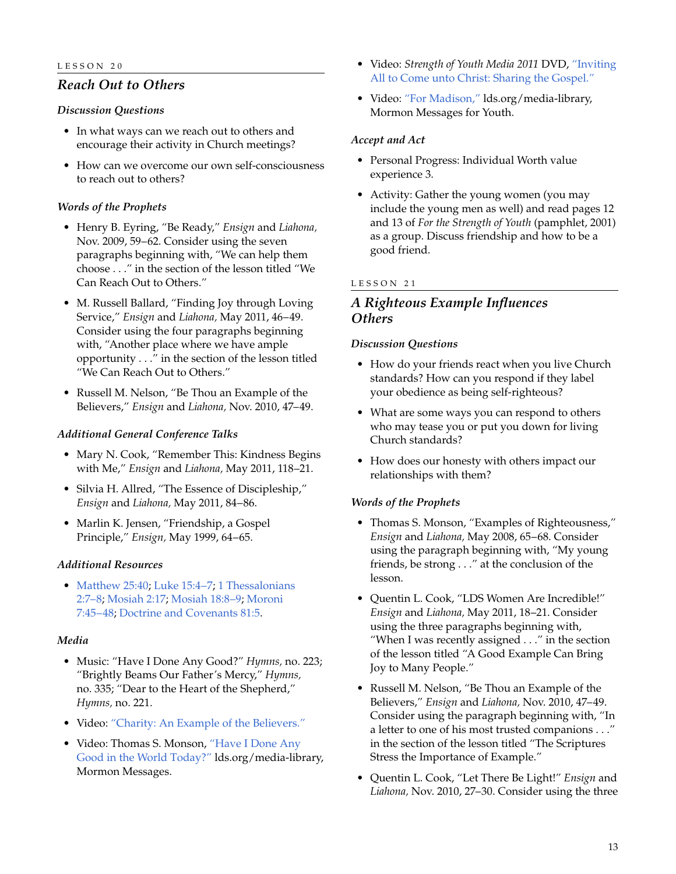# *Reach Out to Others*

#### *Discussion Questions*

- In what ways can we reach out to others and encourage their activity in Church meetings?
- How can we overcome our own self-consciousness to reach out to others?

# *Words of the Prophets*

- Henry B. Eyring, "Be Ready," *Ensign* and *Liahona,* Nov. 2009, 59–62. Consider using the seven paragraphs beginning with, "We can help them choose . . ." in the section of the lesson titled "We Can Reach Out to Others."
- M. Russell Ballard, "Finding Joy through Loving Service," *Ensign* and *Liahona,* May 2011, 46–49. Consider using the four paragraphs beginning with, "Another place where we have ample opportunity . . ." in the section of the lesson titled "We Can Reach Out to Others."
- Russell M. Nelson, "Be Thou an Example of the Believers," *Ensign* and *Liahona,* Nov. 2010, 47–49.

# *Additional General Conference Talks*

- Mary N. Cook, "Remember This: Kindness Begins with Me," *Ensign* and *Liahona,* May 2011, 118–21.
- Silvia H. Allred, "The Essence of Discipleship," *Ensign* and *Liahona,* May 2011, 84–86.
- Marlin K. Jensen, "Friendship, a Gospel Principle," *Ensign,* May 1999, 64–65.

# *Additional Resources*

• [Matthew 25:40](http://lds.org/scriptures/nt/matt/25.40?lang=eng#40), [Luke 15:4–7;](http://lds.org/scriptures/nt/luke/15.4-7?lang=eng#4) 1 [Thessalonians](http://lds.org/scriptures/nt/1-thes/2.7-8?lang=eng#7) [2:7–8](http://lds.org/scriptures/nt/1-thes/2.7-8?lang=eng#7); [Mosiah 2:17](http://lds.org/scriptures/bofm/mosiah/2.17?lang=eng#17); [Mosiah 18:8–9;](http://lds.org/scriptures/bofm/mosiah/18.8-9?lang=eng#8) [Moroni](http://lds.org/scriptures/bofm/moro/7.45-48?lang=eng#45) [7:45–48](http://lds.org/scriptures/bofm/moro/7.45-48?lang=eng#45); [Doctrine and Covenants 81:5.](http://lds.org/scriptures/dc-testament/dc/81.5?lang=eng#5)

# *Media*

- Music: "Have I Done Any Good?" *Hymns,* no. 223; "Brightly Beams Our Father's Mercy," *Hymns,* no. 335; "Dear to the Heart of the Shepherd," *Hymns,* no. 221.
- Video: ["Charity: An Example of the Believers."](http://lds.org/ldsorg/v/index.jsp?autoplay=true&index=2&locale=0&sourceId=ab516ef2109b6210VgnVCM100000176f620a____&vgnextoid=bd163ca6e9aa3210VgnVCM1000003a94610aRCRD)
- Video: Thomas S. Monson, ["Have I Done Any](http://lds.org/ldsorg/v/index.jsp?autoplay=true&index=1&locale=0&sourceId=d81be1b0b00b6210VgnVCM100000176f620a____&vgnextoid=bd163ca6e9aa3210VgnVCM1000003a94610aRCRD) [Good in the World Today?"](http://lds.org/ldsorg/v/index.jsp?autoplay=true&index=1&locale=0&sourceId=d81be1b0b00b6210VgnVCM100000176f620a____&vgnextoid=bd163ca6e9aa3210VgnVCM1000003a94610aRCRD) lds.org/media-library, Mormon Messages.
- Video: *Strength of Youth Media 2011* DVD, ["Inviting](http://lds.org/youth/video/inviting-all-to-come-unto-christ-sharing-the-gospel?lang=eng) [All to Come unto Christ: Sharing the Gospel."](http://lds.org/youth/video/inviting-all-to-come-unto-christ-sharing-the-gospel?lang=eng)
- Video: ["For Madison,"](http://lds.org/media-library/video/mormon-messages-for-youth?lang=eng#2010-09-0090-for-madison) lds.org/media-library, Mormon Messages for Youth.

#### *Accept and Act*

- Personal Progress: Individual Worth value experience 3.
- Activity: Gather the young women (you may include the young men as well) and read pages 12 and 13 of *For the Strength of Youth* (pamphlet, 2001) as a group. Discuss friendship and how to be a good friend.

# LESSON 21

# *A Righteous Example Influences Others*

#### *Discussion Questions*

- How do your friends react when you live Church standards? How can you respond if they label your obedience as being self-righteous?
- What are some ways you can respond to others who may tease you or put you down for living Church standards?
- How does our honesty with others impact our relationships with them?

# *Words of the Prophets*

- Thomas S. Monson, "Examples of Righteousness," *Ensign* and *Liahona,* May 2008, 65–68. Consider using the paragraph beginning with, "My young friends, be strong . . ." at the conclusion of the lesson.
- Quentin L. Cook, "LDS Women Are Incredible!" *Ensign* and *Liahona,* May 2011, 18–21. Consider using the three paragraphs beginning with, "When I was recently assigned . . ." in the section of the lesson titled "A Good Example Can Bring Joy to Many People."
- Russell M. Nelson, "Be Thou an Example of the Believers," *Ensign* and *Liahona,* Nov. 2010, 47–49. Consider using the paragraph beginning with, "In a letter to one of his most trusted companions . . ." in the section of the lesson titled "The Scriptures Stress the Importance of Example."
- Quentin L. Cook, "Let There Be Light!" *Ensign* and *Liahona,* Nov. 2010, 27–30. Consider using the three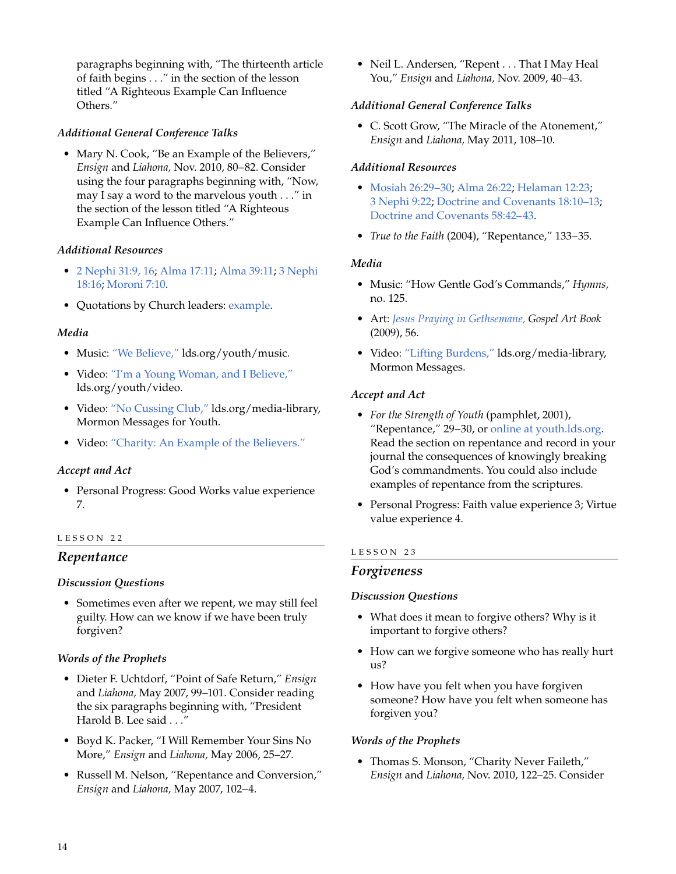paragraphs beginning with, "The thirteenth article of faith begins . . ." in the section of the lesson titled "A Righteous Example Can Influence Others."

# *Additional General Conference Talks*

• Mary N. Cook, "Be an Example of the Believers," *Ensign* and *Liahona,* Nov. 2010, 80–82. Consider using the four paragraphs beginning with, "Now, may I say a word to the marvelous youth . . ." in the section of the lesson titled "A Righteous Example Can Influence Others."

# *Additional Resources*

- 2 [Nephi 31:9, 16;](http://lds.org/scriptures/bofm/2-ne/31.9,16?lang=eng#9) [Alma 17:11;](http://lds.org/scriptures/bofm/alma/17.11?lang=eng#11) [Alma 39:11;](http://lds.org/scriptures/bofm/alma/39.11?lang=eng#11) 3 [Nephi](http://lds.org/scriptures/bofm/3-ne/18.16?lang=eng#16) [18:16](http://lds.org/scriptures/bofm/3-ne/18.16?lang=eng#16); [Moroni 7:10.](http://lds.org/scriptures/bofm/moro/7.10?lang=eng#10)
- Quotations by Church leaders: [example.](http://lds.org/ldsorg/v/index.jsp?locale=0&sourceId=54d1938154b7a110VgnVCM100000176f620aRCRD&topic=Example&vgnextoid=23bd6f3d78dd9110VgnVCM1000003a94610aRCRD)

#### *Media*

- Music: ["We Believe,"](http://lds.org/youth/music?lang=eng) lds.org/youth/music.
- Video: ["I'm a Young Woman, and I Believe,"](http://lds.org/youth/video/im-a-young-woman-and-i-believe?lang=eng) lds.org/youth/video.
- Video: ["No Cussing Club,"](http://lds.org/youth/video/no-cussing-club?lang=eng) lds.org/media-library, Mormon Messages for Youth.
- Video: ["Charity: An Example of the Believers."](http://lds.org/ldsorg/v/index.jsp?autoplay=true&index=1&locale=0&sourceId=ab516ef2109b6210VgnVCM100000176f620a____&vgnextoid=bd163ca6e9aa3210VgnVCM1000003a94610aRCRD)

# *Accept and Act*

• Personal Progress: Good Works value experience 7.

#### LESSON 22

# *Repentance*

#### *Discussion Questions*

• Sometimes even after we repent, we may still feel guilty. How can we know if we have been truly forgiven?

# *Words of the Prophets*

- Dieter F. Uchtdorf, "Point of Safe Return," *Ensign* and *Liahona,* May 2007, 99–101. Consider reading the six paragraphs beginning with, "President Harold B. Lee said . . ."
- Boyd K. Packer, "I Will Remember Your Sins No More," *Ensign* and *Liahona,* May 2006, 25–27.
- Russell M. Nelson, "Repentance and Conversion," *Ensign* and *Liahona,* May 2007, 102–4.

• Neil L. Andersen, "Repent . . . That I May Heal You," *Ensign* and *Liahona,* Nov. 2009, 40–43.

#### *Additional General Conference Talks*

• C. Scott Grow, "The Miracle of the Atonement," *Ensign* and *Liahona,* May 2011, 108–10.

#### *Additional Resources*

- [Mosiah 26:29–30](http://lds.org/scriptures/bofm/mosiah/26.29-30?lang=eng#29); [Alma 26:22;](http://lds.org/scriptures/bofm/alma/26.22?lang=eng#22) [Helaman 12:23](http://lds.org/scriptures/bofm/hel/12.23?lang=eng#23); 3 [Nephi 9:22;](http://lds.org/scriptures/bofm/3-ne/9.22?lang=eng#22) [Doctrine and Covenants 18:10–13](http://lds.org/scriptures/dc-testament/dc/18.10-13?lang=eng#10); [Doctrine and Covenants 58:42–43.](http://lds.org/scriptures/dc-testament/dc/58.42-43?lang=eng#42)
- *True to the Faith* (2004), "Repentance," 133–35.

#### *Media*

- Music: "How Gentle God's Commands," *Hymns,* no. 125.
- Art: *[Jesus Praying in Gethsemane,](http://lds.org/gospellibrary/artbook/images/ArtBook__056_056__JesusPrayingInGethsemane_Sm___.jpg) Gospel Art Book* (2009), 56.
- Video: ["Lifting Burdens,"](http://lds.org/ldsorg/v/index.jsp?autoplay=true&index=5&locale=0&sourceId=a2ca115277f06210VgnVCM100000176f620a____&vgnextoid=bd163ca6e9aa3210VgnVCM1000003a94610aRCRD) lds.org/media-library, Mormon Messages.

#### *Accept and Act*

- *For the Strength of Youth* (pamphlet, 2001), "Repentance," 29–30, or [online at youth.lds.org.](http://lds.org/youth/for-the-strength-of-youth/repentance) Read the section on repentance and record in your journal the consequences of knowingly breaking God's commandments. You could also include examples of repentance from the scriptures.
- Personal Progress: Faith value experience 3; Virtue value experience 4.

# LESSON 23

# *Forgiveness*

#### *Discussion Questions*

- What does it mean to forgive others? Why is it important to forgive others?
- How can we forgive someone who has really hurt us?
- How have you felt when you have forgiven someone? How have you felt when someone has forgiven you?

# *Words of the Prophets*

• Thomas S. Monson, "Charity Never Faileth," *Ensign* and *Liahona,* Nov. 2010, 122–25. Consider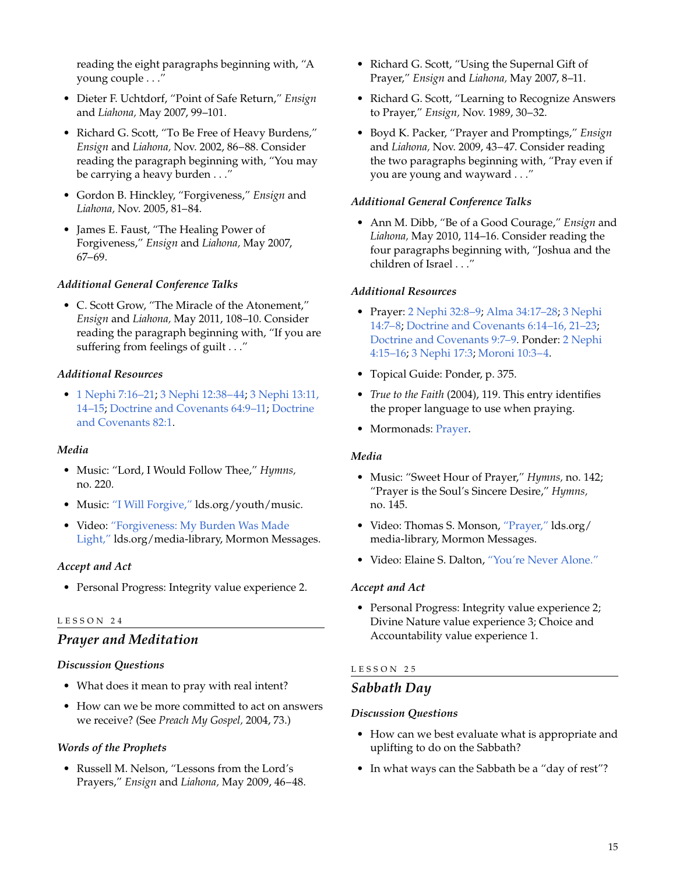reading the eight paragraphs beginning with, "A young couple . . ."

- Dieter F. Uchtdorf, "Point of Safe Return," *Ensign* and *Liahona,* May 2007, 99–101.
- Richard G. Scott, "To Be Free of Heavy Burdens," *Ensign* and *Liahona,* Nov. 2002, 86–88. Consider reading the paragraph beginning with, "You may be carrying a heavy burden . . ."
- Gordon B. Hinckley, "Forgiveness," *Ensign* and *Liahona,* Nov. 2005, 81–84.
- James E. Faust, "The Healing Power of Forgiveness," *Ensign* and *Liahona,* May 2007, 67–69.

#### *Additional General Conference Talks*

• C. Scott Grow, "The Miracle of the Atonement," *Ensign* and *Liahona,* May 2011, 108–10. Consider reading the paragraph beginning with, "If you are suffering from feelings of guilt . . ."

#### *Additional Resources*

• 1 [Nephi 7:16–21](http://lds.org/scriptures/bofm/1-ne/7.16-21?lang=eng#16); 3 [Nephi 12:38–44;](http://lds.org/scriptures/bofm/3-ne/12.38-44?lang=eng#38) 3 [Nephi 13:11,](http://lds.org/scriptures/bofm/3-ne/13.11,14-15?lang=eng#11) [14–15;](http://lds.org/scriptures/bofm/3-ne/13.11,14-15?lang=eng#11) [Doctrine and Covenants 64:9–11](http://lds.org/scriptures/dc-testament/dc/64.9-11?lang=eng#9); [Doctrine](http://lds.org/scriptures/dc-testament/dc/81.1?lang=eng#1) [and Covenants 82:1](http://lds.org/scriptures/dc-testament/dc/81.1?lang=eng#1).

#### *Media*

- Music: "Lord, I Would Follow Thee," *Hymns,* no. 220.
- Music: ["I Will Forgive,"](http://lds/org/youth/music?lang=eng) lds.org/youth/music.
- Video: ["Forgiveness: My Burden Was Made](http://lds.org/media-library/video/mormon-messages?lang=eng&start=25&end=36#2010-07-14-forgiveness-my-burden-was-made-light) [Light,"](http://lds.org/media-library/video/mormon-messages?lang=eng&start=25&end=36#2010-07-14-forgiveness-my-burden-was-made-light) lds.org/media-library, Mormon Messages.

#### *Accept and Act*

• Personal Progress: Integrity value experience 2.

#### LESSON 24

# *Prayer and Meditation*

#### *Discussion Questions*

- What does it mean to pray with real intent?
- How can we be more committed to act on answers we receive? (See *Preach My Gospel,* 2004, 73.)

#### *Words of the Prophets*

• Russell M. Nelson, "Lessons from the Lord's Prayers," *Ensign* and *Liahona,* May 2009, 46–48.

- Richard G. Scott, "Using the Supernal Gift of Prayer," *Ensign* and *Liahona,* May 2007, 8–11.
- Richard G. Scott, "Learning to Recognize Answers to Prayer," *Ensign,* Nov. 1989, 30–32.
- Boyd K. Packer, "Prayer and Promptings," *Ensign* and *Liahona,* Nov. 2009, 43–47. Consider reading the two paragraphs beginning with, "Pray even if you are young and wayward . . ."

#### *Additional General Conference Talks*

• Ann M. Dibb, "Be of a Good Courage," *Ensign* and *Liahona,* May 2010, 114–16. Consider reading the four paragraphs beginning with, "Joshua and the children of Israel . . ."

#### *Additional Resources*

- Prayer: 2 [Nephi 32:8–9;](http://lds.org/scriptures/bofm/2-ne/32.8-9?lang=eng#8) [Alma 34:17–28](http://lds.org/scriptures/bofm/alma/34.17-28?lang=eng#17); 3 [Nephi](http://lds.org/scriptures/bofm/3-ne/14.7-8?lang=eng#7) [14:7–8](http://lds.org/scriptures/bofm/3-ne/14.7-8?lang=eng#7); [Doctrine and Covenants 6:14–16, 21–23;](http://lds.org/scriptures/dc-testament/dc/6.14-16,21-23?lang=eng#14) [Doctrine and Covenants 9:7–9.](http://lds.org/scriptures/dc-testament/dc/9.7-9?lang=eng#7) Ponder: 2 [Nephi](http://lds.org/scriptures/bofm/2-ne/4.15-16?lang=eng#15) [4:15–16](http://lds.org/scriptures/bofm/2-ne/4.15-16?lang=eng#15); 3 [Nephi 17:3](http://lds.org/scriptures/bofm/3-ne/17.3?lang=eng#3); [Moroni 10:3–4](http://lds.org/scriptures/bofm/moro/10.3-4?lang=eng#3).
- Topical Guide: Ponder, p. 375.
- *True to the Faith* (2004), 119. This entry identifies the proper language to use when praying.
- Mormonads: [Prayer](http://lds.org/ldsorg/v/index.jsp?vgnextoid=024644f8f206c010VgnVCM1000004d82620aRCRD&locale=0&sourceId=8358fac79272b110VgnVCM100000176f620a____#Prayer).

#### *Media*

- Music: "Sweet Hour of Prayer," *Hymns,* no. 142; "Prayer is the Soul's Sincere Desire," *Hymns,* no. 145.
- Video: Thomas S. Monson, ["Prayer,"](http://lds.org/ldsorg/v/index.jsp?autoplay=true&index=2&locale=0&sourceId=42c9b7d081426210VgnVCM100000176f620a____&vgnextoid=bd163ca6e9aa3210VgnVCM1000003a94610aRCRD) lds.org/ media-library, Mormon Messages.
- Video: Elaine S. Dalton, ["You're Never Alone."](http://lds.org/ldsorg/v/index.jsp?autoplay=true&index=3&locale=0&sourceId=065c115277f06210VgnVCM100000176f620a____&vgnextoid=bd163ca6e9aa3210VgnVCM1000003a94610aRCRD)

#### *Accept and Act*

• Personal Progress: Integrity value experience 2; Divine Nature value experience 3; Choice and Accountability value experience 1.

#### LESSON 25

#### *Sabbath Day*

#### *Discussion Questions*

- How can we best evaluate what is appropriate and uplifting to do on the Sabbath?
- In what ways can the Sabbath be a "day of rest"?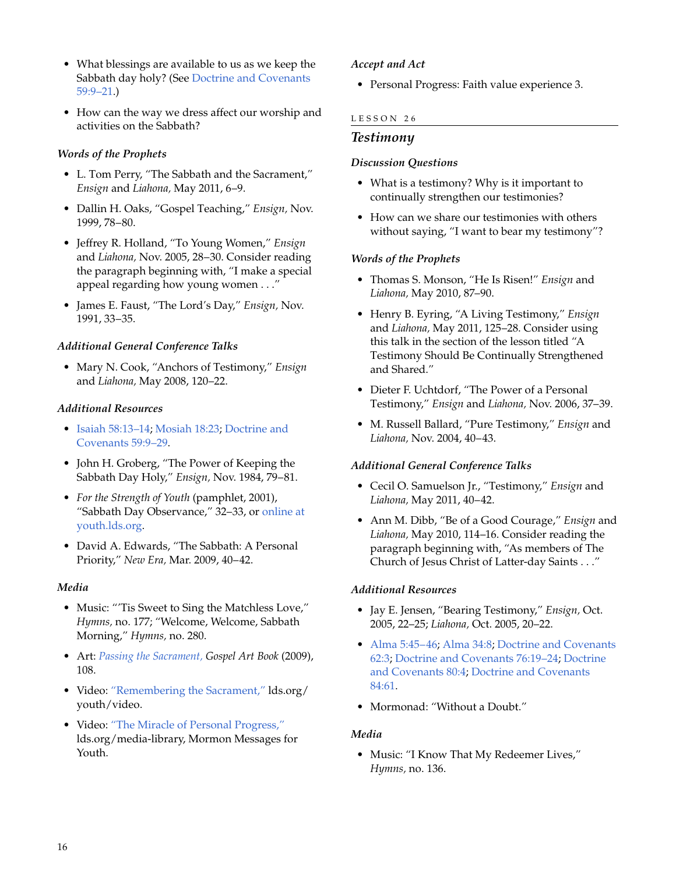- What blessings are available to us as we keep the Sabbath day holy? (See [Doctrine and Covenants](http://lds.org/scriptures/dc-testament/dc/59.9-21?lang=eng#9) [59:9–21](http://lds.org/scriptures/dc-testament/dc/59.9-21?lang=eng#9).)
- How can the way we dress affect our worship and activities on the Sabbath?

# *Words of the Prophets*

- L. Tom Perry, "The Sabbath and the Sacrament," *Ensign* and *Liahona,* May 2011, 6–9.
- Dallin H. Oaks, "Gospel Teaching," *Ensign,* Nov. 1999, 78–80.
- Jeffrey R. Holland, "To Young Women," *Ensign* and *Liahona,* Nov. 2005, 28–30. Consider reading the paragraph beginning with, "I make a special appeal regarding how young women . . ."
- James E. Faust, "The Lord's Day," *Ensign,* Nov. 1991, 33–35.

# *Additional General Conference Talks*

• Mary N. Cook, "Anchors of Testimony," *Ensign* and *Liahona,* May 2008, 120–22.

# *Additional Resources*

- [Isaiah 58:13–14;](http://lds.org/scriptures/ot/isa/58.13-14?lang=eng#13) [Mosiah 18:23;](http://lds.org/scriptures/bofm/mosiah/18.23?lang=eng#23) [Doctrine and](http://lds.org/scriptures/dc-testament/dc/59.9-29?lang=eng#9) [Covenants 59:9–29.](http://lds.org/scriptures/dc-testament/dc/59.9-29?lang=eng#9)
- John H. Groberg, "The Power of Keeping the Sabbath Day Holy," *Ensign,* Nov. 1984, 79–81.
- *For the Strength of Youth* (pamphlet, 2001), "Sabbath Day Observance," 32–33, or [online at](http://lds.org/youth/for-the-strength-of-youth/sabbath-day-observance) [youth.lds.org.](http://lds.org/youth/for-the-strength-of-youth/sabbath-day-observance)
- David A. Edwards, "The Sabbath: A Personal Priority," *New Era,* Mar. 2009, 40–42.

# *Media*

- Music: "Tis Sweet to Sing the Matchless Love," *Hymns,* no. 177; "Welcome, Welcome, Sabbath Morning," *Hymns,* no. 280.
- Art: *[Passing the Sacrament,](http://lds.org/gospellibrary/artbook/images/ArtBook__108_108__PassingTheSacrament_Sm___.jpg) Gospel Art Book* (2009), 108.
- Video: ["Remembering the Sacrament,"](http://lds.org/youth/video/remembering-the-sacrament?lang=eng) lds.org/ youth/video.
- Video: ["The Miracle of Personal Progress,"](http://lds.org/youth/video/the-miracle-of-personal-progress?lang=eng) lds.org/media-library, Mormon Messages for Youth.

# *Accept and Act*

• Personal Progress: Faith value experience 3.

# LESSON 26

# *Testimony*

#### *Discussion Questions*

- What is a testimony? Why is it important to continually strengthen our testimonies?
- How can we share our testimonies with others without saying, "I want to bear my testimony"?

#### *Words of the Prophets*

- Thomas S. Monson, "He Is Risen!" *Ensign* and *Liahona,* May 2010, 87–90.
- Henry B. Eyring, "A Living Testimony," *Ensign* and *Liahona,* May 2011, 125–28. Consider using this talk in the section of the lesson titled "A Testimony Should Be Continually Strengthened and Shared."
- Dieter F. Uchtdorf, "The Power of a Personal Testimony," *Ensign* and *Liahona,* Nov. 2006, 37–39.
- M. Russell Ballard, "Pure Testimony," *Ensign* and *Liahona,* Nov. 2004, 40–43.

# *Additional General Conference Talks*

- Cecil O. Samuelson Jr., "Testimony," *Ensign* and *Liahona,* May 2011, 40–42.
- Ann M. Dibb, "Be of a Good Courage," *Ensign* and *Liahona,* May 2010, 114–16. Consider reading the paragraph beginning with, "As members of The Church of Jesus Christ of Latter-day Saints . . ."

# *Additional Resources*

- Jay E. Jensen, "Bearing Testimony," *Ensign,* Oct. 2005, 22–25; *Liahona,* Oct. 2005, 20–22.
- [Alma 5:45–46](http://lds.org/scriptures/bofm/alma/5.45-46?lang=eng#45); [Alma 34:8;](http://lds.org/scriptures/bofm/alma/34.8?lang=eng#8) [Doctrine and Covenants](http://lds.org/scriptures/dc-testament/dc/62.3?lang=eng#3) [62:3](http://lds.org/scriptures/dc-testament/dc/62.3?lang=eng#3); [Doctrine and Covenants 76:19–24;](http://lds.org/scriptures/dc-testament/dc/76.19-24?lang=eng#19) [Doctrine](http://lds.org/scriptures/dc-testament/dc/80.4?lang=eng#4) [and Covenants 80:4](http://lds.org/scriptures/dc-testament/dc/80.4?lang=eng#4); [Doctrine and Covenants](http://lds.org/scriptures/dc-testament/dc/84.61?lang=eng#61) [84:61](http://lds.org/scriptures/dc-testament/dc/84.61?lang=eng#61).
- Mormonad: "Without a Doubt."

# *Media*

• Music: "I Know That My Redeemer Lives," *Hymns,* no. 136.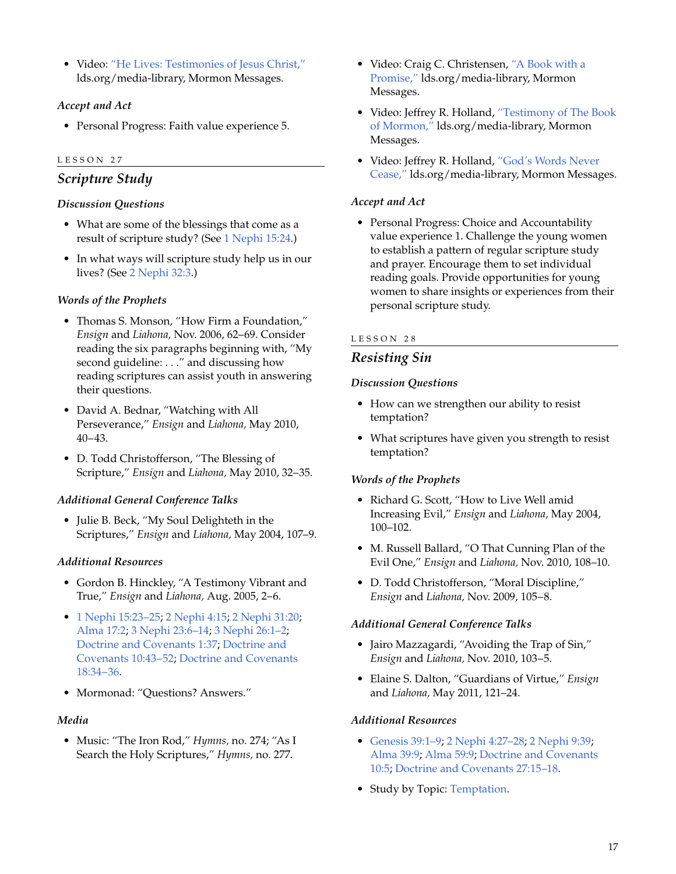• Video: ["He Lives: Testimonies of Jesus Christ,"](http://lds.org/ldsorg/v/index.jsp?autoplay=true&index=1&locale=0&sourceId=79bacbcc921b7210VgnVCM100000176f620a____&vgnextoid=bd163ca6e9aa3210VgnVCM1000003a94610aRCRD) lds.org/media-library, Mormon Messages.

# *Accept and Act*

• Personal Progress: Faith value experience 5.

#### LESSON 27

# *Scripture Study*

#### *Discussion Questions*

- What are some of the blessings that come as a result of scripture study? (See 1 [Nephi 15:24](http://lds.org/scriptures/bofm/1-ne/15.24?lang=eng#24).)
- In what ways will scripture study help us in our lives? (See 2 [Nephi 32:3.](http://lds.org/scriptures/bofm/2-ne/32.3?lang=eng#3))

# *Words of the Prophets*

- Thomas S. Monson, "How Firm a Foundation," *Ensign* and *Liahona,* Nov. 2006, 62–69. Consider reading the six paragraphs beginning with, "My second guideline: . . ." and discussing how reading scriptures can assist youth in answering their questions.
- David A. Bednar, "Watching with All Perseverance," *Ensign* and *Liahona,* May 2010, 40–43.
- D. Todd Christofferson, "The Blessing of Scripture," *Ensign* and *Liahona,* May 2010, 32–35.

# *Additional General Conference Talks*

• Julie B. Beck, "My Soul Delighteth in the Scriptures," *Ensign* and *Liahona,* May 2004, 107–9.

#### *Additional Resources*

- Gordon B. Hinckley, "A Testimony Vibrant and True," *Ensign* and *Liahona,* Aug. 2005, 2–6.
- 1 [Nephi 15:23–25](http://lds.org/scriptures/bofm/1-ne/15.23-25?lang=eng#23); 2 [Nephi 4:15;](http://lds.org/scriptures/bofm/2-ne/4.15?lang=eng#15) 2 [Nephi 31:20;](http://lds.org/scriptures/bofm/2-ne/31.20?lang=eng#20) [Alma 17:2](http://lds.org/scriptures/bofm/alma/17.2?lang=eng#2); 3 [Nephi 23:6–14](http://lds.org/scriptures/bofm/3-ne/23.6-14?lang=eng#6); 3 [Nephi 26:1–2;](http://lds.org/scriptures/bofm/3-ne/26.1-2?lang=eng#1) [Doctrine and Covenants 1:37;](http://lds.org/scriptures/dc-testament/dc/1.37?lang=eng#37) [Doctrine and](http://lds.org/scriptures/dc-testament/dc/10.43-52?lang=eng#43) [Covenants 10:43–52](http://lds.org/scriptures/dc-testament/dc/10.43-52?lang=eng#43); [Doctrine and Covenants](http://lds.org/scriptures/dc-testament/dc/18.34-36?lang=eng#34) [18:34–36.](http://lds.org/scriptures/dc-testament/dc/18.34-36?lang=eng#34)
- Mormonad: "Questions? Answers."

#### *Media*

• Music: "The Iron Rod," *Hymns,* no. 274; "As I Search the Holy Scriptures," *Hymns,* no. 277.

- Video: Craig C. Christensen, ["A Book with a](http://lds.org/ldsorg/v/index.jsp?autoplay=true&index=3&locale=0&sourceId=bcd9747631f92210VgnVCM100000176f620a____&vgnextoid=bd163ca6e9aa3210VgnVCM1000003a94610aRCRD) [Promise,"](http://lds.org/ldsorg/v/index.jsp?autoplay=true&index=3&locale=0&sourceId=bcd9747631f92210VgnVCM100000176f620a____&vgnextoid=bd163ca6e9aa3210VgnVCM1000003a94610aRCRD) lds.org/media-library, Mormon Messages.
- Video: Jeffrey R. Holland, ["Testimony of The Book](http://lds.org/ldsorg/v/index.jsp?autoplay=true&index=2&locale=0&sourceId=561c6a86bdcf7210VgnVCM100000176f620a____&vgnextoid=bd163ca6e9aa3210VgnVCM1000003a94610aRCRD) [of Mormon,"](http://lds.org/ldsorg/v/index.jsp?autoplay=true&index=2&locale=0&sourceId=561c6a86bdcf7210VgnVCM100000176f620a____&vgnextoid=bd163ca6e9aa3210VgnVCM1000003a94610aRCRD) lds.org/media-library, Mormon Messages.
- Video: Jeffrey R. Holland, ["God's Words Never](http://lds.org/ldsorg/v/index.jsp?autoplay=true&index=5&locale=0&sourceId=15a4a899d5e92210VgnVCM100000176f620a____&vgnextoid=bd163ca6e9aa3210VgnVCM1000003a94610aRCRD) [Cease,"](http://lds.org/ldsorg/v/index.jsp?autoplay=true&index=5&locale=0&sourceId=15a4a899d5e92210VgnVCM100000176f620a____&vgnextoid=bd163ca6e9aa3210VgnVCM1000003a94610aRCRD) lds.org/media-library, Mormon Messages.

#### *Accept and Act*

• Personal Progress: Choice and Accountability value experience 1. Challenge the young women to establish a pattern of regular scripture study and prayer. Encourage them to set individual reading goals. Provide opportunities for young women to share insights or experiences from their personal scripture study.

#### LESSON 28

# *Resisting Sin*

#### *Discussion Questions*

- How can we strengthen our ability to resist temptation?
- What scriptures have given you strength to resist temptation?

# *Words of the Prophets*

- Richard G. Scott, "How to Live Well amid Increasing Evil," *Ensign* and *Liahona,* May 2004, 100–102.
- M. Russell Ballard, "O That Cunning Plan of the Evil One," *Ensign* and *Liahona,* Nov. 2010, 108–10.
- D. Todd Christofferson, "Moral Discipline," *Ensign* and *Liahona,* Nov. 2009, 105–8.

#### *Additional General Conference Talks*

- Jairo Mazzagardi, "Avoiding the Trap of Sin," *Ensign* and *Liahona,* Nov. 2010, 103–5.
- Elaine S. Dalton, "Guardians of Virtue," *Ensign* and *Liahona,* May 2011, 121–24.

#### *Additional Resources*

- [Genesis 39:1–9;](http://lds.org/scriptures/ot/gen/39.1-9?lang=eng#1) 2 [Nephi 4:27–28](http://lds.org/scriptures/bofm/2-ne/4.27-28?lang=eng#27); 2 [Nephi 9:39](http://lds.org/scriptures/bofm/2-ne/9.39?lang=eng#39); [Alma 39:9](http://lds.org/scriptures/bofm/alma/39.9?lang=eng#9); [Alma 59:9;](http://lds.org/scriptures/bofm/alma/59.9?lang=eng#9) [Doctrine and Covenants](http://lds.org/scriptures/dc-testament/dc/10.5?lang=eng#5) [10:5](http://lds.org/scriptures/dc-testament/dc/10.5?lang=eng#5); [Doctrine and Covenants 27:15–18](http://lds.org/scriptures/dc-testament/dc/27.15-18?lang=eng#15).
- Study by Topic: [Temptation](http://lds.org/study/topics/temptation).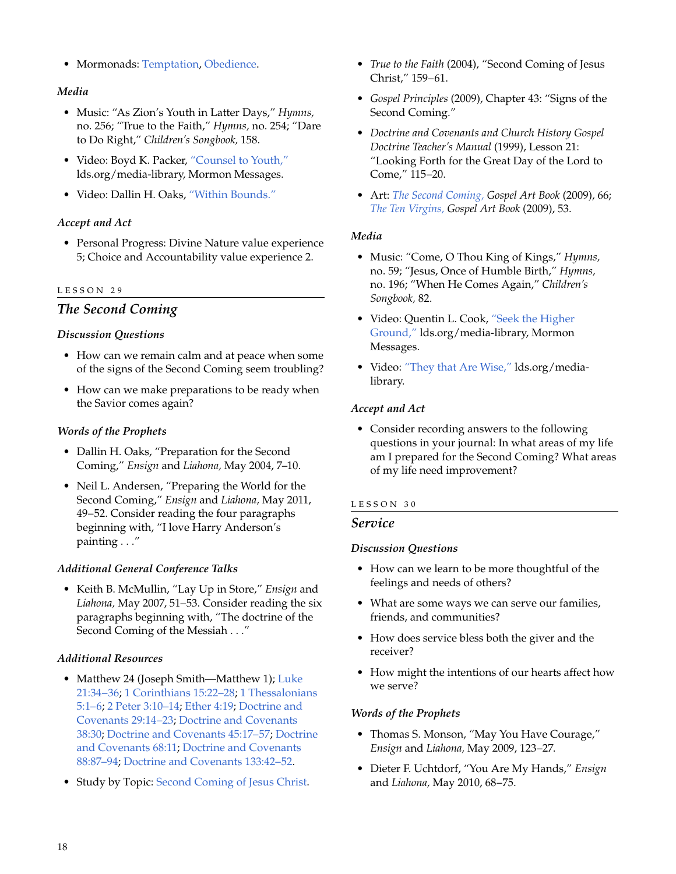• Mormonads: [Temptation](http://lds.org/ldsorg/v/index.jsp?vgnextoid=024644f8f206c010VgnVCM1000004d82620aRCRD&locale=0&sourceId=acc9fac79272b110VgnVCM100000176f620a____#Temptation), [Obedience](http://lds.org/ldsorg/v/index.jsp?vgnextoid=024644f8f206c010VgnVCM1000004d82620aRCRD&locale=0&sourceId=0780cbb4e73a9110VgnVCM100000176f620a____#Obedience).

#### *Media*

- Music: "As Zion's Youth in Latter Days," *Hymns,* no. 256; "True to the Faith," *Hymns,* no. 254; "Dare to Do Right," *Children's Songbook,* 158.
- Video: Boyd K. Packer, ["Counsel to Youth,"](http://lds.org/ldsorg/v/index.jsp?autoplay=true&index=3&locale=0&sourceId=9e0a6fb9634a5210VgnVCM100000176f620a____&vgnextoid=bd163ca6e9aa3210VgnVCM1000003a94610aRCRD) lds.org/media-library, Mormon Messages.
- Video: Dallin H. Oaks, ["Within Bounds."](http://www.youtube.com/watch?v=l8cwf4UvyJM)

# *Accept and Act*

• Personal Progress: Divine Nature value experience 5; Choice and Accountability value experience 2.

#### LESSON 29

# *The Second Coming*

# *Discussion Questions*

- How can we remain calm and at peace when some of the signs of the Second Coming seem troubling?
- How can we make preparations to be ready when the Savior comes again?

#### *Words of the Prophets*

- Dallin H. Oaks, "Preparation for the Second Coming," *Ensign* and *Liahona,* May 2004, 7–10.
- Neil L. Andersen, "Preparing the World for the Second Coming," *Ensign* and *Liahona,* May 2011, 49–52. Consider reading the four paragraphs beginning with, "I love Harry Anderson's painting . . ."

# *Additional General Conference Talks*

• Keith B. McMullin, "Lay Up in Store," *Ensign* and *Liahona,* May 2007, 51–53. Consider reading the six paragraphs beginning with, "The doctrine of the Second Coming of the Messiah . . ."

# *Additional Resources*

- Matthew 24 (Joseph Smith—Matthew 1); [Luke](http://lds.org/scriptures/nt/luke/21.34-36?lang=eng#34) [21:34–36;](http://lds.org/scriptures/nt/luke/21.34-36?lang=eng#34) 1 [Corinthians 15:22–28;](http://lds.org/scriptures/nt/1-cor/15.22-28?lang=eng#22) 1 [Thessalonians](http://lds.org/scriptures/nt/1-thes/5.1-6?lang=eng#1) [5:1–6](http://lds.org/scriptures/nt/1-thes/5.1-6?lang=eng#1); 2 [Peter 3:10–14;](http://lds.org/scriptures/nt/2-pet/3.10-14?lang=eng#10) [Ether 4:19](http://lds.org/scriptures/bofm/ether/4.19?lang=eng#19); [Doctrine and](http://lds.org/scriptures/dc-testament/dc/29.14-23?lang=eng#14) [Covenants 29:14–23](http://lds.org/scriptures/dc-testament/dc/29.14-23?lang=eng#14); [Doctrine and Covenants](http://lds.org/scriptures/dc-testament/dc/38.30?lang=eng#30) [38:30](http://lds.org/scriptures/dc-testament/dc/38.30?lang=eng#30); [Doctrine and Covenants 45:17–57;](http://lds.org/scriptures/dc-testament/dc/45.17-57?lang=eng#17) [Doctrine](http://lds.org/scriptures/dc-testament/dc/68.11?lang=eng#11) [and Covenants 68:11;](http://lds.org/scriptures/dc-testament/dc/68.11?lang=eng#11) [Doctrine and Covenants](http://lds.org/scriptures/dc-testament/dc/88.87-94?lang=eng#87) [88:87–94](http://lds.org/scriptures/dc-testament/dc/88.87-94?lang=eng#87); [Doctrine and Covenants 133:42–52.](http://lds.org/scriptures/dc-testament/dc/133.42-52?lang=eng#42)
- Study by Topic: [Second Coming of Jesus Christ.](http://lds.org/study/topics/second-coming-of-jesus-christ)
- *True to the Faith* (2004), "Second Coming of Jesus Christ," 159–61.
- *Gospel Principles* (2009), Chapter 43: "Signs of the Second Coming."
- *Doctrine and Covenants and Church History Gospel Doctrine Teacher's Manual* (1999), Lesson 21: "Looking Forth for the Great Day of the Lord to Come," 115–20.
- Art: *[The Second Coming,](http://lds.org/gospellibrary/artbook/images/ArtBook__066_066__TheSecondComing_Sm___.jpg) Gospel Art Book* (2009), 66; *[The Ten Virgins,](http://lds.org/gospellibrary/artbook/images/ArtBook__053_053__ParableOfTheTenVirgins_Sm___.jpg) Gospel Art Book* (2009), 53.

#### *Media*

- Music: "Come, O Thou King of Kings," *Hymns,* no. 59; "Jesus, Once of Humble Birth," *Hymns,* no. 196; "When He Comes Again," *Children's Songbook,* 82.
- Video: Quentin L. Cook, ["Seek the Higher](http://lds.org/ldsorg/v/index.jsp?autoplay=true&index=2&locale=0&sourceId=32bc029c9a228210VgnVCM100000176f620a____&vgnextoid=bd163ca6e9aa3210VgnVCM1000003a94610aRCRD) [Ground,"](http://lds.org/ldsorg/v/index.jsp?autoplay=true&index=2&locale=0&sourceId=32bc029c9a228210VgnVCM100000176f620a____&vgnextoid=bd163ca6e9aa3210VgnVCM1000003a94610aRCRD) lds.org/media-library, Mormon Messages.
- Video: ["They that Are Wise,"](http://lds.org/media-library/video/doctrine-and-covenants-visual-resources?lang=eng#2010-07-14-they-that-are-wise) lds.org/medialibrary.

# *Accept and Act*

• Consider recording answers to the following questions in your journal: In what areas of my life am I prepared for the Second Coming? What areas of my life need improvement?

#### LESSON 30

# *Service*

#### *Discussion Questions*

- How can we learn to be more thoughtful of the feelings and needs of others?
- What are some ways we can serve our families, friends, and communities?
- How does service bless both the giver and the receiver?
- How might the intentions of our hearts affect how we serve?

# *Words of the Prophets*

- Thomas S. Monson, "May You Have Courage," *Ensign* and *Liahona,* May 2009, 123–27.
- Dieter F. Uchtdorf, "You Are My Hands," *Ensign* and *Liahona,* May 2010, 68–75.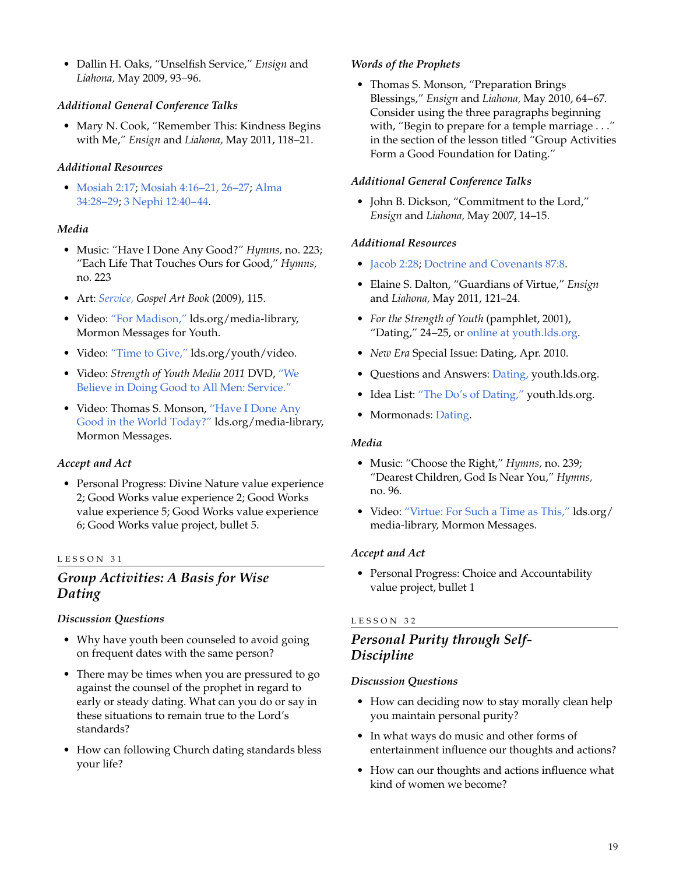• Dallin H. Oaks, "Unselfish Service," *Ensign* and *Liahona,* May 2009, 93–96.

# *Additional General Conference Talks*

• Mary N. Cook, "Remember This: Kindness Begins with Me," *Ensign* and *Liahona,* May 2011, 118–21.

# *Additional Resources*

• [Mosiah 2:17](http://lds.org/scriptures/bofm/mosiah/2.17?lang=eng#17); [Mosiah 4:16–21, 26–27](http://lds.org/scriptures/bofm/mosiah/4.16-21,26-27?lang=eng#16); [Alma](http://lds.org/scriptures/bofm/alma/34.28-29?lang=eng#28) [34:28–29](http://lds.org/scriptures/bofm/alma/34.28-29?lang=eng#28); 3 [Nephi 12:40–44.](http://lds.org/scriptures/bofm/3-ne/12.40-44?lang=eng#40)

# *Media*

- Music: "Have I Done Any Good?" *Hymns,* no. 223; "Each Life That Touches Ours for Good," *Hymns,* no. 223
- Art: *[Service,](http://lds.org/gospellibrary/artbook/images/ArtBook__115_115__Service_Sm___.jpg) Gospel Art Book* (2009), 115.
- Video: ["For Madison,"](http://lds.org/media-library/video/mormon-messages-for-youth?lang=eng#2010-09-0090-for-madison) lds.org/media-library, Mormon Messages for Youth.
- Video: ["Time to Give,"](http://lds.org/youth/video/time-to-give) lds.org/youth/video.
- Video: *Strength of Youth Media 2011* DVD, ["We](http://lds.org/youth/video/we-believe-in-doing-good-to-all-men-service?lang=eng) [Believe in Doing Good to All Men: Service."](http://lds.org/youth/video/we-believe-in-doing-good-to-all-men-service?lang=eng)
- Video: Thomas S. Monson, ["Have I Done Any](http://lds.org/ldsorg/v/index.jsp?autoplay=true&index=2&locale=0&sourceId=d81be1b0b00b6210VgnVCM100000176f620a____&vgnextoid=bd163ca6e9aa3210VgnVCM1000003a94610aRCRD) [Good in the World Today?"](http://lds.org/ldsorg/v/index.jsp?autoplay=true&index=2&locale=0&sourceId=d81be1b0b00b6210VgnVCM100000176f620a____&vgnextoid=bd163ca6e9aa3210VgnVCM1000003a94610aRCRD) lds.org/media-library, Mormon Messages.

# *Accept and Act*

• Personal Progress: Divine Nature value experience 2; Good Works value experience 2; Good Works value experience 5; Good Works value experience 6; Good Works value project, bullet 5.

#### LESSON 31

# *Group Activities: A Basis for Wise Dating*

# *Discussion Questions*

- Why have youth been counseled to avoid going on frequent dates with the same person?
- There may be times when you are pressured to go against the counsel of the prophet in regard to early or steady dating. What can you do or say in these situations to remain true to the Lord's standards?
- How can following Church dating standards bless your life?

# *Words of the Prophets*

• Thomas S. Monson, "Preparation Brings Blessings," *Ensign* and *Liahona,* May 2010, 64–67. Consider using the three paragraphs beginning with, "Begin to prepare for a temple marriage . . ." in the section of the lesson titled "Group Activities Form a Good Foundation for Dating."

#### *Additional General Conference Talks*

• John B. Dickson, "Commitment to the Lord," *Ensign* and *Liahona,* May 2007, 14–15.

# *Additional Resources*

- [Jacob 2:28](http://lds.org/scriptures/bofm/jacob/2.28?lang=eng#28); [Doctrine and Covenants 87:8.](http://lds.org/scriptures/dc-testament/dc/87.8?lang=eng#8)
- Elaine S. Dalton, "Guardians of Virtue," *Ensign* and *Liahona,* May 2011, 121–24.
- *For the Strength of Youth* (pamphlet, 2001), "Dating," 24–25, or [online at youth.lds.org](http://lds.org/youth/for-the-strength-of-youth/dating).
- *New Era* Special Issue: Dating, Apr. 2010.
- Questions and Answers: [Dating,](http://lds.org/youth/ask/top/dating) youth.lds.org.
- Idea List: ["The Do's of Dating,"](http://lds.org/youth/article/the-dos-of-dating?lang=eng) youth.lds.org.
- Mormonads: [Dating](http://lds.org/ldsorg/v/index.jsp?vgnextoid=024644f8f206c010VgnVCM1000004d82620aRCRD&locale=0&sourceId=c1c41859fa5f8110VgnVCM100000176f620a____#Dating).

# *Media*

- Music: "Choose the Right," *Hymns,* no. 239; "Dearest Children, God Is Near You," *Hymns,* no. 96.
- Video: ["Virtue: For Such a Time as This,"](http://lds.org/ldsorg/v/index.jsp?autoplay=true&index=5&locale=0&sourceId=2d90747631f92210VgnVCM100000176f620a____&vgnextoid=bd163ca6e9aa3210VgnVCM1000003a94610aRCRD) lds.org/ media-library, Mormon Messages.

# *Accept and Act*

• Personal Progress: Choice and Accountability value project, bullet 1

# LESSON 32

# *Personal Purity through Self-Discipline*

# *Discussion Questions*

- How can deciding now to stay morally clean help you maintain personal purity?
- In what ways do music and other forms of entertainment influence our thoughts and actions?
- How can our thoughts and actions influence what kind of women we become?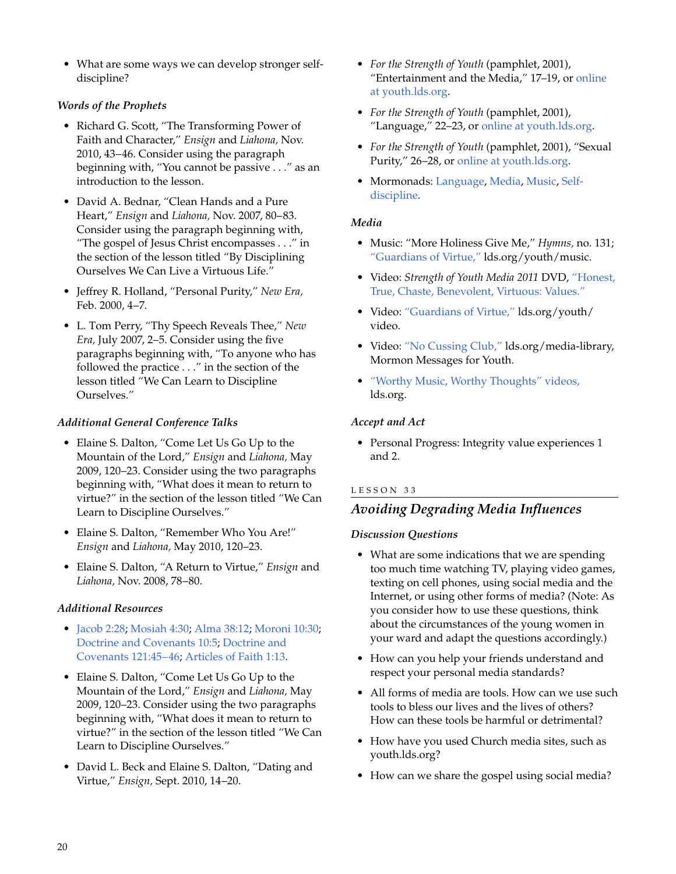• What are some ways we can develop stronger selfdiscipline?

# *Words of the Prophets*

- Richard G. Scott, "The Transforming Power of Faith and Character," *Ensign* and *Liahona,* Nov. 2010, 43–46. Consider using the paragraph beginning with, "You cannot be passive . . ." as an introduction to the lesson.
- David A. Bednar, "Clean Hands and a Pure Heart," *Ensign* and *Liahona,* Nov. 2007, 80–83. Consider using the paragraph beginning with, "The gospel of Jesus Christ encompasses . . ." in the section of the lesson titled "By Disciplining Ourselves We Can Live a Virtuous Life."
- Jeffrey R. Holland, "Personal Purity," *New Era,* Feb. 2000, 4–7.
- L. Tom Perry, "Thy Speech Reveals Thee," *New Era,* July 2007, 2–5. Consider using the five paragraphs beginning with, "To anyone who has followed the practice . . ." in the section of the lesson titled "We Can Learn to Discipline Ourselves."

# *Additional General Conference Talks*

- Elaine S. Dalton, "Come Let Us Go Up to the Mountain of the Lord," *Ensign* and *Liahona,* May 2009, 120–23. Consider using the two paragraphs beginning with, "What does it mean to return to virtue?" in the section of the lesson titled "We Can Learn to Discipline Ourselves."
- Elaine S. Dalton, "Remember Who You Are!" *Ensign* and *Liahona,* May 2010, 120–23.
- Elaine S. Dalton, "A Return to Virtue," *Ensign* and *Liahona,* Nov. 2008, 78–80.

# *Additional Resources*

- [Jacob 2:28](http://lds.org/scriptures/bofm/jacob/2.28?lang=eng#28); [Mosiah 4:30](http://lds.org/scriptures/bofm/mosiah/4.30?lang=eng#30); [Alma 38:12;](http://lds.org/scriptures/bofm/alma/38.12?lang=eng#12) [Moroni 10:30;](http://lds.org/scriptures/bofm/moro/10.30?lang=eng#30) [Doctrine and Covenants 10:5;](http://lds.org/scriptures/dc-testament/dc/10.5?lang=eng#5) [Doctrine and](http://lds.org/scriptures/dc-testament/dc/121.45-46?lang=eng#45) [Covenants 121:45–46;](http://lds.org/scriptures/dc-testament/dc/121.45-46?lang=eng#45) [Articles of Faith 1:13](http://lds.org/scriptures/pgp/a-of-f/1.13?lang=eng#13).
- Elaine S. Dalton, "Come Let Us Go Up to the Mountain of the Lord," *Ensign* and *Liahona,* May 2009, 120–23. Consider using the two paragraphs beginning with, "What does it mean to return to virtue?" in the section of the lesson titled "We Can Learn to Discipline Ourselves."
- David L. Beck and Elaine S. Dalton, "Dating and Virtue," *Ensign,* Sept. 2010, 14–20.
- *For the Strength of Youth* (pamphlet, 2001), "Entertainment and the Media," 17–19, or [online](http://lds.org/youth/for-the-strength-of-youth/entertainment-and-the-media) [at youth.lds.org](http://lds.org/youth/for-the-strength-of-youth/entertainment-and-the-media).
- *For the Strength of Youth* (pamphlet, 2001), "Language," 22–23, or [online at youth.lds.org](http://lds.org/youth/for-the-strength-of-youth/language).
- *For the Strength of Youth* (pamphlet, 2001), "Sexual Purity," 26–28, or [online at youth.lds.org.](http://lds.org/youth/for-the-strength-of-youth/sexual-purity)
- Mormonads: [Language,](http://lds.org/ldsorg/v/index.jsp?vgnextoid=024644f8f206c010VgnVCM1000004d82620aRCRD&locale=0&sourceId=a235b4349532b110VgnVCM100000176f620a____#Language) [Media,](http://lds.org/ldsorg/v/index.jsp?vgnextoid=024644f8f206c010VgnVCM1000004d82620aRCRD&locale=0&sourceId=5ce6b4349532b110VgnVCM100000176f620a____#Media) [Music](http://lds.org/ldsorg/v/index.jsp?vgnextoid=024644f8f206c010VgnVCM1000004d82620aRCRD&locale=0&sourceId=33e7b4349532b110VgnVCM100000176f620a____#Music), [Self](http://lds.org/ldsorg/v/index.jsp?vgnextoid=024644f8f206c010VgnVCM1000004d82620aRCRD&locale=0&sourceId=8319fac79272b110VgnVCM100000176f620a____#SelfDiscipline)[discipline.](http://lds.org/ldsorg/v/index.jsp?vgnextoid=024644f8f206c010VgnVCM1000004d82620aRCRD&locale=0&sourceId=8319fac79272b110VgnVCM100000176f620a____#SelfDiscipline)

# *Media*

- Music: "More Holiness Give Me," *Hymns,* no. 131; ["Guardians of Virtue,"](http://lds.org/youth/music) lds.org/youth/music.
- Video: *Strength of Youth Media 2011* DVD, ["Honest,](http://lds.org/youth/video/honest-true-chaste-benevolent-virtuous-values?lang=eng) [True, Chaste, Benevolent, Virtuous: Values."](http://lds.org/youth/video/honest-true-chaste-benevolent-virtuous-values?lang=eng)
- Video: ["Guardians of Virtue,"](http://lds.org/youth/video/guardians-of-virtue?lang=eng) lds.org/youth/ video.
- Video: ["No Cussing Club,"](http://lds.org/youth/video/no-cussing-club?lang=eng) lds.org/media-library, Mormon Messages for Youth.
- ["Worthy Music, Worthy Thoughts" videos,](http://lds.org/cm/display/0,17631,8045-1,00.html) lds.org.

# *Accept and Act*

• Personal Progress: Integrity value experiences 1 and 2.

# LESSON 33

# *Avoiding Degrading Media Influences*

# *Discussion Questions*

- What are some indications that we are spending too much time watching TV, playing video games, texting on cell phones, using social media and the Internet, or using other forms of media? (Note: As you consider how to use these questions, think about the circumstances of the young women in your ward and adapt the questions accordingly.)
- How can you help your friends understand and respect your personal media standards?
- All forms of media are tools. How can we use such tools to bless our lives and the lives of others? How can these tools be harmful or detrimental?
- How have you used Church media sites, such as youth.lds.org?
- How can we share the gospel using social media?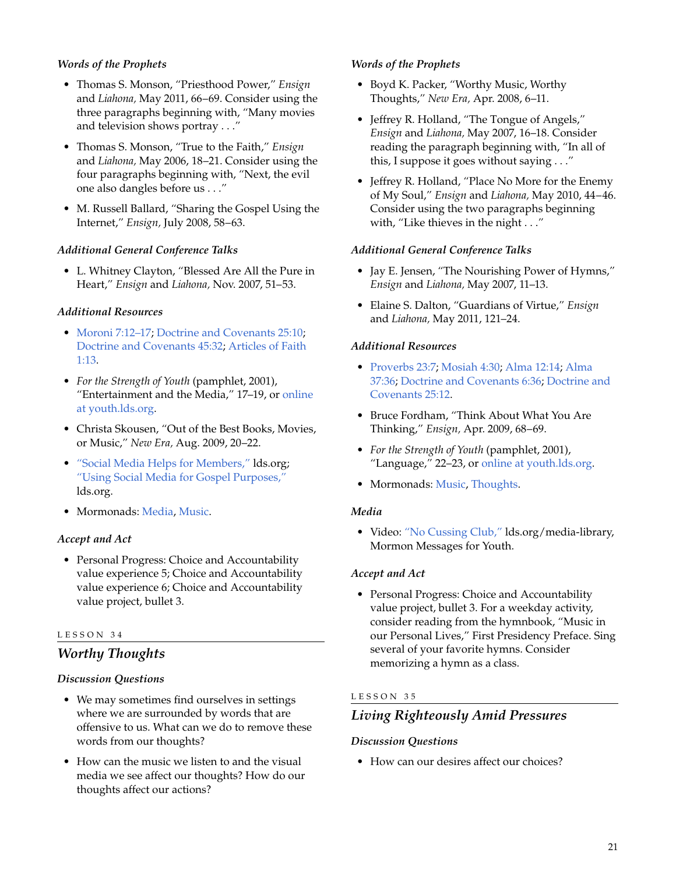# *Words of the Prophets*

- Thomas S. Monson, "Priesthood Power," *Ensign* and *Liahona,* May 2011, 66–69. Consider using the three paragraphs beginning with, "Many movies and television shows portray . . ."
- Thomas S. Monson, "True to the Faith," *Ensign* and *Liahona,* May 2006, 18–21. Consider using the four paragraphs beginning with, "Next, the evil one also dangles before us . . ."
- M. Russell Ballard, "Sharing the Gospel Using the Internet," *Ensign,* July 2008, 58–63.

#### *Additional General Conference Talks*

• L. Whitney Clayton, "Blessed Are All the Pure in Heart," *Ensign* and *Liahona,* Nov. 2007, 51–53.

#### *Additional Resources*

- [Moroni 7:12–17;](http://lds.org/scriptures/bofm/moro/7.12-17?lang=eng#12) [Doctrine and Covenants 25:10](http://lds.org/scriptures/dc-testament/dc/25.10?lang=eng#10); [Doctrine and Covenants 45:32;](http://lds.org/scriptures/dc-testament/dc/45.32?lang=eng#32) [Articles of Faith](http://lds.org/scriptures/pgp/a-of-f/1.13?lang=eng#13) [1:13](http://lds.org/scriptures/pgp/a-of-f/1.13?lang=eng#13).
- *For the Strength of Youth* (pamphlet, 2001), "Entertainment and the Media," 17–19, or [online](http://lds.org/youth/for-the-strength-of-youth/entertainment-and-the-media) [at youth.lds.org](http://lds.org/youth/for-the-strength-of-youth/entertainment-and-the-media).
- Christa Skousen, "Out of the Best Books, Movies, or Music," *New Era,* Aug. 2009, 20–22.
- ["Social Media Helps for Members,"](http://lds.org/pages/social-media-helps) lds.org; ["Using Social Media for Gospel Purposes,"](http://lds.org/church/news/using-social-media-for-gospel-purposes) lds.org.
- Mormonads: [Media](http://lds.org/ldsorg/v/index.jsp?vgnextoid=024644f8f206c010VgnVCM1000004d82620aRCRD&locale=0&sourceId=5ce6b4349532b110VgnVCM100000176f620a____#Media), [Music](http://lds.org/ldsorg/v/index.jsp?vgnextoid=024644f8f206c010VgnVCM1000004d82620aRCRD&locale=0&sourceId=33e7b4349532b110VgnVCM100000176f620a____#Music).

#### *Accept and Act*

• Personal Progress: Choice and Accountability value experience 5; Choice and Accountability value experience 6; Choice and Accountability value project, bullet 3.

#### LESSON 34

# *Worthy Thoughts*

#### *Discussion Questions*

- We may sometimes find ourselves in settings where we are surrounded by words that are offensive to us. What can we do to remove these words from our thoughts?
- How can the music we listen to and the visual media we see affect our thoughts? How do our thoughts affect our actions?

#### *Words of the Prophets*

- Boyd K. Packer, "Worthy Music, Worthy Thoughts," *New Era,* Apr. 2008, 6–11.
- Jeffrey R. Holland, "The Tongue of Angels," *Ensign* and *Liahona,* May 2007, 16–18. Consider reading the paragraph beginning with, "In all of this, I suppose it goes without saying . . ."
- Jeffrey R. Holland, "Place No More for the Enemy of My Soul," *Ensign* and *Liahona,* May 2010, 44–46. Consider using the two paragraphs beginning with, "Like thieves in the night . . ."

#### *Additional General Conference Talks*

- Jay E. Jensen, "The Nourishing Power of Hymns," *Ensign* and *Liahona,* May 2007, 11–13.
- Elaine S. Dalton, "Guardians of Virtue," *Ensign* and *Liahona,* May 2011, 121–24.

#### *Additional Resources*

- [Proverbs 23:7;](http://lds.org/scriptures/ot/prov/23.7?lang=eng#7) [Mosiah 4:30;](http://lds.org/scriptures/bofm/mosiah/4.30?lang=eng#30) [Alma 12:14](http://lds.org/scriptures/bofm/alma/12.14?lang=eng#14); [Alma](http://lds.org/scriptures/bofm/alma/37.36?lang=eng#36) [37:36](http://lds.org/scriptures/bofm/alma/37.36?lang=eng#36); [Doctrine and Covenants 6:36](http://lds.org/scriptures/dc-testament/dc/6.36?lang=eng#36); [Doctrine and](http://lds.org/scriptures/dc-testament/dc/25.12?lang=eng#12) [Covenants 25:12.](http://lds.org/scriptures/dc-testament/dc/25.12?lang=eng#12)
- Bruce Fordham, "Think About What You Are Thinking," *Ensign,* Apr. 2009, 68–69.
- *For the Strength of Youth* (pamphlet, 2001), "Language," 22–23, or [online at youth.lds.org](http://lds.org/youth/for-the-strength-of-youth/language).
- Mormonads: [Music,](http://lds.org/ldsorg/v/index.jsp?vgnextoid=024644f8f206c010VgnVCM1000004d82620aRCRD&locale=0&sourceId=33e7b4349532b110VgnVCM100000176f620a____#Music) [Thoughts](http://lds.org/ldsorg/v/index.jsp?vgnextoid=024644f8f206c010VgnVCM1000004d82620aRCRD&locale=0&sourceId=af2afac79272b110VgnVCM100000176f620a____#Thoughts).

#### *Media*

• Video: ["No Cussing Club,"](http://lds.org/youth/video/no-cussing-club?lang=eng) lds.org/media-library, Mormon Messages for Youth.

#### *Accept and Act*

• Personal Progress: Choice and Accountability value project, bullet 3. For a weekday activity, consider reading from the hymnbook, "Music in our Personal Lives," First Presidency Preface. Sing several of your favorite hymns. Consider memorizing a hymn as a class.

#### LESSON 35

# *Living Righteously Amid Pressures*

#### *Discussion Questions*

• How can our desires affect our choices?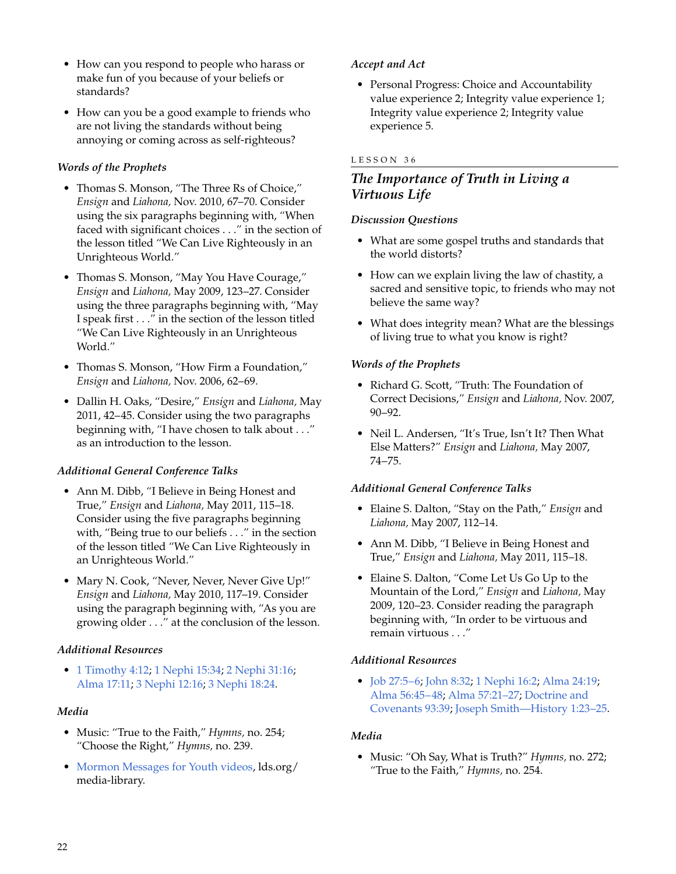- How can you respond to people who harass or make fun of you because of your beliefs or standards?
- How can you be a good example to friends who are not living the standards without being annoying or coming across as self-righteous?

# *Words of the Prophets*

- Thomas S. Monson, "The Three Rs of Choice," *Ensign* and *Liahona,* Nov. 2010, 67–70. Consider using the six paragraphs beginning with, "When faced with significant choices . . ." in the section of the lesson titled "We Can Live Righteously in an Unrighteous World."
- Thomas S. Monson, "May You Have Courage," *Ensign* and *Liahona,* May 2009, 123–27. Consider using the three paragraphs beginning with, "May I speak first . . ." in the section of the lesson titled "We Can Live Righteously in an Unrighteous World."
- Thomas S. Monson, "How Firm a Foundation," *Ensign* and *Liahona,* Nov. 2006, 62–69.
- Dallin H. Oaks, "Desire," *Ensign* and *Liahona,* May 2011, 42–45. Consider using the two paragraphs beginning with, "I have chosen to talk about . . ." as an introduction to the lesson.

# *Additional General Conference Talks*

- Ann M. Dibb, "I Believe in Being Honest and True," *Ensign* and *Liahona,* May 2011, 115–18. Consider using the five paragraphs beginning with, "Being true to our beliefs . . ." in the section of the lesson titled "We Can Live Righteously in an Unrighteous World."
- Mary N. Cook, "Never, Never, Never Give Up!" *Ensign* and *Liahona,* May 2010, 117–19. Consider using the paragraph beginning with, "As you are growing older . . ." at the conclusion of the lesson.

# *Additional Resources*

• 1 [Timothy 4:12;](http://lds.org/scriptures/nt/1-tim/4.12?lang=eng#12) 1 [Nephi 15:34](http://lds.org/scriptures/bofm/1-ne/15.34?lang=eng#34); 2 [Nephi 31:16;](http://lds.org/scriptures/bofm/2-ne/31.16?lang=eng#16) [Alma 17:11](http://lds.org/scriptures/bofm/alma/17.11?lang=eng#11); 3 [Nephi 12:16;](http://lds.org/scriptures/bofm/3-ne/12.16?lang=eng#16) 3 [Nephi 18:24](http://lds.org/scriptures/bofm/3-ne/18.24?lang=eng#24).

# *Media*

- Music: "True to the Faith," *Hymns,* no. 254; "Choose the Right," *Hymns,* no. 239.
- [Mormon Messages for Youth videos](http://lds.org/media-library/video/mormon-messages-for-youth),  $lds.org/$ media-library.

# *Accept and Act*

• Personal Progress: Choice and Accountability value experience 2; Integrity value experience 1; Integrity value experience 2; Integrity value experience 5.

# LESSON 36

# *The Importance of Truth in Living a Virtuous Life*

#### *Discussion Questions*

- What are some gospel truths and standards that the world distorts?
- How can we explain living the law of chastity, a sacred and sensitive topic, to friends who may not believe the same way?
- What does integrity mean? What are the blessings of living true to what you know is right?

# *Words of the Prophets*

- Richard G. Scott, "Truth: The Foundation of Correct Decisions," *Ensign* and *Liahona,* Nov. 2007, 90–92.
- Neil L. Andersen, "It's True, Isn't It? Then What Else Matters?" *Ensign* and *Liahona,* May 2007, 74–75.

# *Additional General Conference Talks*

- Elaine S. Dalton, "Stay on the Path," *Ensign* and *Liahona,* May 2007, 112–14.
- Ann M. Dibb, "I Believe in Being Honest and True," *Ensign* and *Liahona,* May 2011, 115–18.
- Elaine S. Dalton, "Come Let Us Go Up to the Mountain of the Lord," *Ensign* and *Liahona,* May 2009, 120–23. Consider reading the paragraph beginning with, "In order to be virtuous and remain virtuous . . ."

# *Additional Resources*

• [Job 27:5–6;](http://lds.org/scriptures/ot/job/27.5-6?lang=eng#5) [John 8:32](http://lds.org/scriptures/nt/john/8.32?lang=eng#32); 1 [Nephi 16:2](http://lds.org/scriptures/bofm/1-ne/16.2?lang=eng#2); [Alma 24:19](http://lds.org/scriptures/bofm/alma/24.19?lang=eng#19); [Alma 56:45–48](http://lds.org/scriptures/bofm/alma/56.45-48?lang=eng#45); [Alma 57:21–27](http://lds.org/scriptures/bofm/alma/57.21-27?lang=eng#21); [Doctrine and](http://lds.org/scriptures/dc-testament/dc/93.39?lang=eng#39) [Covenants 93:39;](http://lds.org/scriptures/dc-testament/dc/93.39?lang=eng#39) [Joseph Smith—History 1:23–25.](http://lds.org/scriptures/pgp/js-h/1.23-25?lang=eng#23)

# *Media*

• Music: "Oh Say, What is Truth?" *Hymns,* no. 272; "True to the Faith," *Hymns,* no. 254.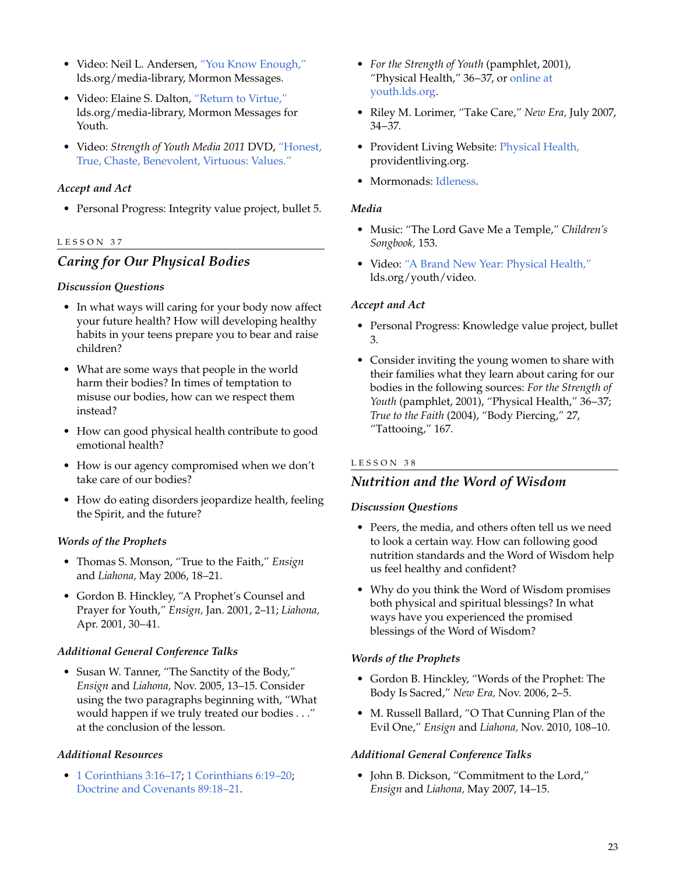- Video: Neil L. Andersen, ["You Know Enough,"](http://lds.org/ldsorg/v/index.jsp?autoplay=true&index=4&locale=0&sourceId=8069747631f92210VgnVCM100000176f620a____&vgnextoid=bd163ca6e9aa3210VgnVCM1000003a94610aRCRD) lds.org/media-library, Mormon Messages.
- Video: Elaine S. Dalton, ["Return to Virtue,"](http://lds.org/youth/video/return-to-virtue?lang=eng) lds.org/media-library, Mormon Messages for Youth.
- Video: *Strength of Youth Media 2011* DVD, ["Honest,](http://lds.org/youth/video/honest-true-chaste-benevolent-virtuous-values?lang=eng) [True, Chaste, Benevolent, Virtuous: Values."](http://lds.org/youth/video/honest-true-chaste-benevolent-virtuous-values?lang=eng)

# *Accept and Act*

• Personal Progress: Integrity value project, bullet 5.

#### LESSON 37

# *Caring for Our Physical Bodies*

#### *Discussion Questions*

- In what ways will caring for your body now affect your future health? How will developing healthy habits in your teens prepare you to bear and raise children?
- What are some ways that people in the world harm their bodies? In times of temptation to misuse our bodies, how can we respect them instead?
- How can good physical health contribute to good emotional health?
- How is our agency compromised when we don't take care of our bodies?
- How do eating disorders jeopardize health, feeling the Spirit, and the future?

#### *Words of the Prophets*

- Thomas S. Monson, "True to the Faith," *Ensign* and *Liahona,* May 2006, 18–21.
- Gordon B. Hinckley, "A Prophet's Counsel and Prayer for Youth," *Ensign,* Jan. 2001, 2–11; *Liahona,* Apr. 2001, 30–41.

# *Additional General Conference Talks*

• Susan W. Tanner, "The Sanctity of the Body," *Ensign* and *Liahona,* Nov. 2005, 13–15. Consider using the two paragraphs beginning with, "What would happen if we truly treated our bodies . . ." at the conclusion of the lesson.

# *Additional Resources*

• 1 [Corinthians 3:16–17](http://lds.org/scriptures/nt/1-cor/3.16-17?lang=eng#16); 1 [Corinthians 6:19–20](http://lds.org/scriptures/nt/1-cor/6.19-20?lang=eng#19); [Doctrine and Covenants 89:18–21](http://lds.org/scriptures/dc-testament/dc/89.18-21?lang=eng#18).

- *For the Strength of Youth* (pamphlet, 2001), "Physical Health," 36–37, or [online at](http://lds.org/youth/for-the-strength-of-youth/physical-health) [youth.lds.org.](http://lds.org/youth/for-the-strength-of-youth/physical-health)
- Riley M. Lorimer, "Take Care," *New Era,* July 2007, 34–37.
- Provident Living Website: [Physical Health,](http://providentliving.org/channel/0,11677,1707-1,00.html) providentliving.org.
- Mormonads: [Idleness](http://lds.org/ldsorg/v/index.jsp?vgnextoid=024644f8f206c010VgnVCM1000004d82620aRCRD&locale=0&sourceId=33d51859fa5f8110VgnVCM100000176f620a____#Idleness).

#### *Media*

- Music: "The Lord Gave Me a Temple," *Children's Songbook,* 153.
- Video: ["A Brand New Year: Physical Health,"](http://lds.org/youth/video/brand-new-year-2010-physical-health?lang=eng) lds.org/youth/video.

# *Accept and Act*

- Personal Progress: Knowledge value project, bullet 3.
- Consider inviting the young women to share with their families what they learn about caring for our bodies in the following sources: *For the Strength of Youth* (pamphlet, 2001), "Physical Health," 36–37; *True to the Faith* (2004), "Body Piercing," 27, "Tattooing," 167.

# LESSON 38

# *Nutrition and the Word of Wisdom*

#### *Discussion Questions*

- Peers, the media, and others often tell us we need to look a certain way. How can following good nutrition standards and the Word of Wisdom help us feel healthy and confident?
- Why do you think the Word of Wisdom promises both physical and spiritual blessings? In what ways have you experienced the promised blessings of the Word of Wisdom?

#### *Words of the Prophets*

- Gordon B. Hinckley, "Words of the Prophet: The Body Is Sacred," *New Era,* Nov. 2006, 2–5.
- M. Russell Ballard, "O That Cunning Plan of the Evil One," *Ensign* and *Liahona,* Nov. 2010, 108–10.

# *Additional General Conference Talks*

• John B. Dickson, "Commitment to the Lord," *Ensign* and *Liahona,* May 2007, 14–15.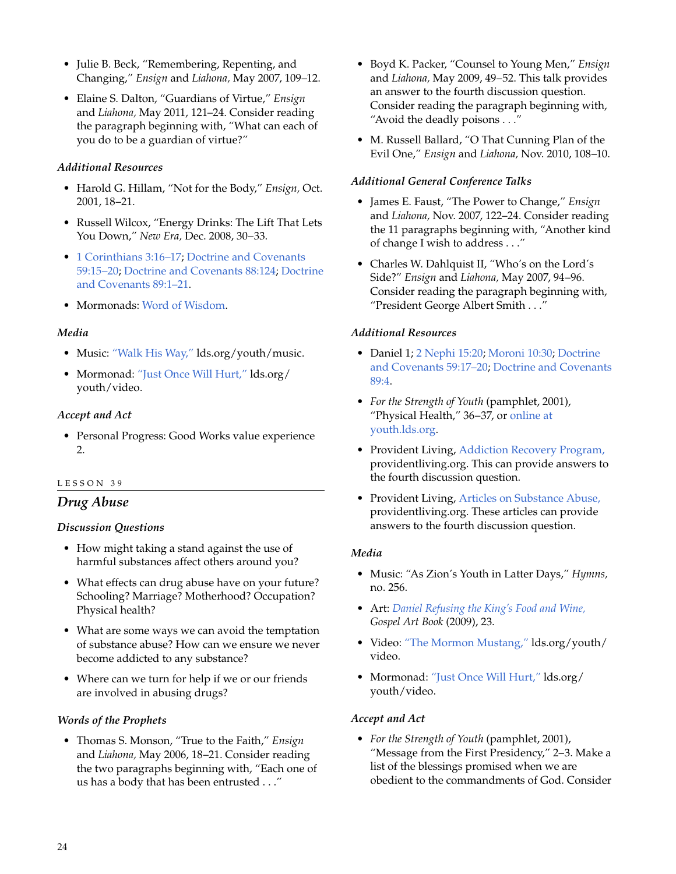- Julie B. Beck, "Remembering, Repenting, and Changing," *Ensign* and *Liahona,* May 2007, 109–12.
- Elaine S. Dalton, "Guardians of Virtue," *Ensign* and *Liahona,* May 2011, 121–24. Consider reading the paragraph beginning with, "What can each of you do to be a guardian of virtue?"

# *Additional Resources*

- Harold G. Hillam, "Not for the Body," *Ensign,* Oct. 2001, 18–21.
- Russell Wilcox, "Energy Drinks: The Lift That Lets You Down," *New Era,* Dec. 2008, 30–33.
- 1 [Corinthians 3:16–17](http://lds.org/scriptures/nt/1-cor/3.16-17?lang=eng#16); [Doctrine and Covenants](http://lds.org/scriptures/dc-testament/dc/59.15-20?lang=eng#15) [59:15–20](http://lds.org/scriptures/dc-testament/dc/59.15-20?lang=eng#15); [Doctrine and Covenants 88:124;](http://lds.org/scriptures/dc-testament/dc/88.124?lang=eng#124) [Doctrine](http://lds.org/scriptures/dc-testament/dc/89.1-21?lang=eng#1) [and Covenants 89:1–21.](http://lds.org/scriptures/dc-testament/dc/89.1-21?lang=eng#1)
- Mormonads: [Word of Wisdom](http://lds.org/ldsorg/v/index.jsp?vgnextoid=024644f8f206c010VgnVCM1000004d82620aRCRD&locale=0&sourceId=af2afac79272b110VgnVCM100000176f620a____#WordOfWisdom).

#### *Media*

- Music: ["Walk His Way,"](http://lds.org/youth/music) lds.org/youth/music.
- Mormonad: ["Just Once Will Hurt,"](http://lds.org/youth/video/just-once-will-hurt?lang=eng) lds.org/ youth/video.

# *Accept and Act*

• Personal Progress: Good Works value experience 2.

#### LESSON 39

# *Drug Abuse*

#### *Discussion Questions*

- How might taking a stand against the use of harmful substances affect others around you?
- What effects can drug abuse have on your future? Schooling? Marriage? Motherhood? Occupation? Physical health?
- What are some ways we can avoid the temptation of substance abuse? How can we ensure we never become addicted to any substance?
- Where can we turn for help if we or our friends are involved in abusing drugs?

# *Words of the Prophets*

• Thomas S. Monson, "True to the Faith," *Ensign* and *Liahona,* May 2006, 18–21. Consider reading the two paragraphs beginning with, "Each one of us has a body that has been entrusted . . ."

- Boyd K. Packer, "Counsel to Young Men," *Ensign* and *Liahona,* May 2009, 49–52. This talk provides an answer to the fourth discussion question. Consider reading the paragraph beginning with, "Avoid the deadly poisons . . ."
- M. Russell Ballard, "O That Cunning Plan of the Evil One," *Ensign* and *Liahona,* Nov. 2010, 108–10.

#### *Additional General Conference Talks*

- James E. Faust, "The Power to Change," *Ensign* and *Liahona,* Nov. 2007, 122–24. Consider reading the 11 paragraphs beginning with, "Another kind of change I wish to address . . ."
- Charles W. Dahlquist II, "Who's on the Lord's Side?" *Ensign* and *Liahona,* May 2007, 94–96. Consider reading the paragraph beginning with, "President George Albert Smith . . . "

#### *Additional Resources*

- Daniel 1; 2 [Nephi 15:20;](http://lds.org/scriptures/bofm/2-ne/15.20?lang=eng#20) [Moroni 10:30](http://lds.org/scriptures/bofm/moro/10.30?lang=eng#30); [Doctrine](http://lds.org/scriptures/dc-testament/dc/59.17-20?lang=eng#17) [and Covenants 59:17–20;](http://lds.org/scriptures/dc-testament/dc/59.17-20?lang=eng#17) [Doctrine and Covenants](http://lds.org/scriptures/dc-testament/dc/89.4?lang=eng#4) [89:4](http://lds.org/scriptures/dc-testament/dc/89.4?lang=eng#4).
- *For the Strength of Youth* (pamphlet, 2001), "Physical Health," 36–37, or [online at](http://lds.org/youth/for-the-strength-of-youth/physical-health) [youth.lds.org.](http://lds.org/youth/for-the-strength-of-youth/physical-health)
- Provident Living, [Addiction Recovery Program,](http://providentliving.org/content/list/0,11664,6629-1,00.html) providentliving.org. This can provide answers to the fourth discussion question.
- Provident Living, [Articles on Substance Abuse,](http://www.providentliving.org/ses/emotionalhealth/0,12283,2130-1---70,00.html) providentliving.org. These articles can provide answers to the fourth discussion question.

# *Media*

- Music: "As Zion's Youth in Latter Days," *Hymns,* no. 256.
- Art: *[Daniel Refusing the King's Food and Wine,](http://lds.org/gospellibrary/artbook/images/ArtBook__023_023__DanielRefusingTheKingsFoodAndWine_Sm___.jpg) Gospel Art Book* (2009), 23.
- Video: ["The Mormon Mustang,"](http://lds.org/youth/video/mormon-mustang?lang=eng) lds.org/youth/ video.
- Mormonad: ["Just Once Will Hurt,"](http://lds.org/youth/video/just-once-will-hurt?lang=eng) lds.org/ youth/video.

# *Accept and Act*

• *For the Strength of Youth* (pamphlet, 2001), "Message from the First Presidency," 2–3. Make a list of the blessings promised when we are obedient to the commandments of God. Consider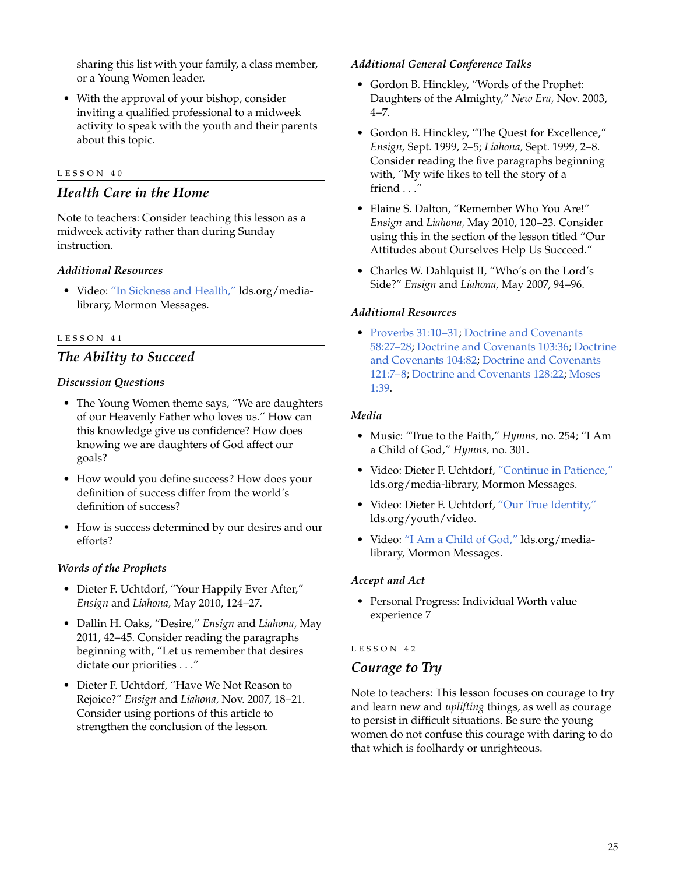sharing this list with your family, a class member, or a Young Women leader.

• With the approval of your bishop, consider inviting a qualified professional to a midweek activity to speak with the youth and their parents about this topic.

#### LESSON 40

# *Health Care in the Home*

Note to teachers: Consider teaching this lesson as a midweek activity rather than during Sunday instruction.

#### *Additional Resources*

• Video: ["In Sickness and Health,"](http://lds.org/ldsorg/v/index.jsp?autoplay=true&index=3&locale=0&sourceId=4b986fb9634a5210VgnVCM100000176f620a____&vgnextoid=bd163ca6e9aa3210VgnVCM1000003a94610aRCRD) lds.org/medialibrary, Mormon Messages.

#### LESSON 41

# *The Ability to Succeed*

#### *Discussion Questions*

- The Young Women theme says, "We are daughters of our Heavenly Father who loves us." How can this knowledge give us confidence? How does knowing we are daughters of God affect our goals?
- How would you define success? How does your definition of success differ from the world's definition of success?
- How is success determined by our desires and our efforts?

#### *Words of the Prophets*

- Dieter F. Uchtdorf, "Your Happily Ever After," *Ensign* and *Liahona,* May 2010, 124–27.
- Dallin H. Oaks, "Desire," *Ensign* and *Liahona,* May 2011, 42–45. Consider reading the paragraphs beginning with, "Let us remember that desires dictate our priorities . . ."
- Dieter F. Uchtdorf, "Have We Not Reason to Rejoice?" *Ensign* and *Liahona,* Nov. 2007, 18–21. Consider using portions of this article to strengthen the conclusion of the lesson.

#### *Additional General Conference Talks*

- Gordon B. Hinckley, "Words of the Prophet: Daughters of the Almighty," *New Era,* Nov. 2003,  $4 - 7.$
- Gordon B. Hinckley, "The Quest for Excellence," *Ensign,* Sept. 1999, 2–5; *Liahona,* Sept. 1999, 2–8. Consider reading the five paragraphs beginning with, "My wife likes to tell the story of a friend . . ."
- Elaine S. Dalton, "Remember Who You Are!" *Ensign* and *Liahona,* May 2010, 120–23. Consider using this in the section of the lesson titled "Our Attitudes about Ourselves Help Us Succeed."
- Charles W. Dahlquist II, "Who's on the Lord's Side?" *Ensign* and *Liahona,* May 2007, 94–96.

#### *Additional Resources*

• [Proverbs 31:10–31;](http://lds.org/scriptures/ot/prov/31.10-31?lang=eng#10) [Doctrine and Covenants](http://lds.org/scriptures/dc-testament/dc/58.27-28?lang=eng#27) [58:27–28;](http://lds.org/scriptures/dc-testament/dc/58.27-28?lang=eng#27) [Doctrine and Covenants 103:36](http://lds.org/scriptures/dc-testament/dc/103.36?lang=eng#36); [Doctrine](http://lds.org/scriptures/dc-testament/dc/104.82?lang=eng#82) [and Covenants 104:82](http://lds.org/scriptures/dc-testament/dc/104.82?lang=eng#82); [Doctrine and Covenants](http://lds.org/scriptures/dc-testament/dc/121.7-8?lang=eng#7) [121:7–8](http://lds.org/scriptures/dc-testament/dc/121.7-8?lang=eng#7); [Doctrine and Covenants 128:22;](http://lds.org/scriptures/dc-testament/dc/128.22?lang=eng#22) [Moses](http://lds.org/scriptures/pgp/moses/1.39?lang=eng#39) [1:39](http://lds.org/scriptures/pgp/moses/1.39?lang=eng#39).

#### *Media*

- Music: "True to the Faith," *Hymns,* no. 254; "I Am a Child of God," *Hymns,* no. 301.
- Video: Dieter F. Uchtdorf, ["Continue in Patience,"](http://lds.org/ldsorg/v/index.jsp?autoplay=true&index=1&locale=0&sourceId=2cca389a31a5b210VgnVCM100000176f620a____&vgnextoid=bd163ca6e9aa3210VgnVCM1000003a94610aRCRD) lds.org/media-library, Mormon Messages.
- Video: Dieter F. Uchtdorf, ["Our True Identity,"](http://lds.org/youth/video/our-true-identity?lang=eng) lds.org/youth/video.
- Video: ["I Am a Child of God,"](http://lds.org/pages/mormon-messages-gallery?lang=eng#i-am-a-child-of-god-mormon-message) lds.org/medialibrary, Mormon Messages.

#### *Accept and Act*

• Personal Progress: Individual Worth value experience 7

#### LESSON 42

#### *Courage to Try*

Note to teachers: This lesson focuses on courage to try and learn new and *uplifting* things, as well as courage to persist in difficult situations. Be sure the young women do not confuse this courage with daring to do that which is foolhardy or unrighteous.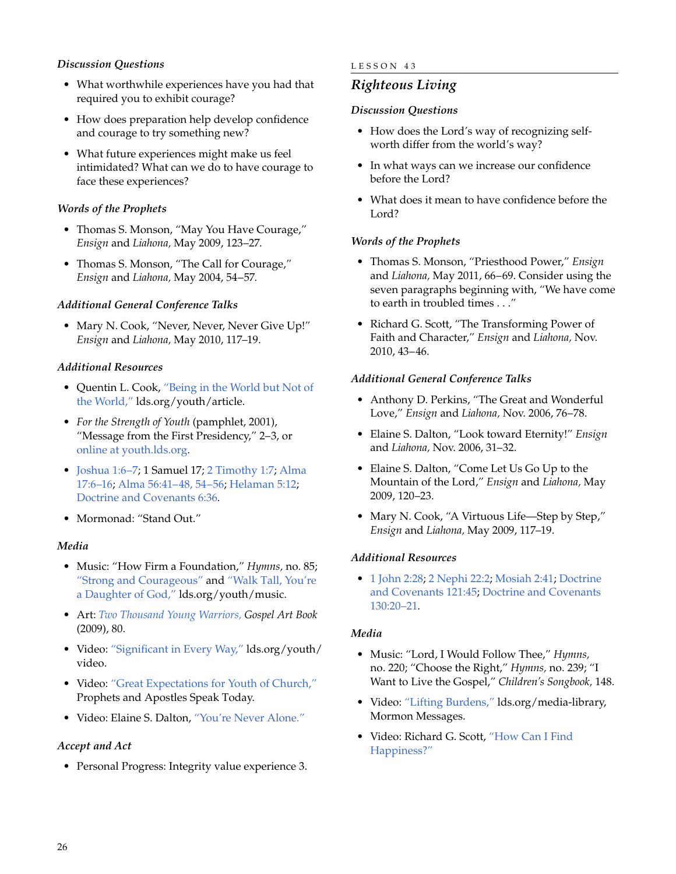# *Discussion Questions*

- What worthwhile experiences have you had that required you to exhibit courage?
- How does preparation help develop confidence and courage to try something new?
- What future experiences might make us feel intimidated? What can we do to have courage to face these experiences?

#### *Words of the Prophets*

- Thomas S. Monson, "May You Have Courage," *Ensign* and *Liahona,* May 2009, 123–27.
- Thomas S. Monson, "The Call for Courage," *Ensign* and *Liahona,* May 2004, 54–57.

# *Additional General Conference Talks*

• Mary N. Cook, "Never, Never, Never Give Up!" *Ensign* and *Liahona,* May 2010, 117–19.

#### *Additional Resources*

- Quentin L. Cook, ["Being in the World but Not of](http://lds.org/youth/article/being-in-the-world-but-not-of-the-world?lang=eng) [the World,"](http://lds.org/youth/article/being-in-the-world-but-not-of-the-world?lang=eng) lds.org/youth/article.
- *For the Strength of Youth* (pamphlet, 2001), "Message from the First Presidency," 2–3, or [online at youth.lds.org.](http://lds.org/youth/for-the-strength-of-youth)
- [Joshua 1:6–7;](http://lds.org/scriptures/ot/josh/1.6-7?lang=eng#6) 1 Samuel 17; 2 [Timothy 1:7](http://lds.org/scriptures/nt/2-tim/1.7?lang=eng#7); [Alma](http://lds.org/scriptures/bofm/alma/17.6-16?lang=eng#6) [17:6–16](http://lds.org/scriptures/bofm/alma/17.6-16?lang=eng#6); [Alma 56:41–48, 54–56;](http://lds.org/scriptures/bofm/alma/56.41-48,54-56?lang=eng#41) [Helaman 5:12;](http://lds.org/scriptures/bofm/hel/5.12?lang=eng#12) [Doctrine and Covenants 6:36.](http://lds.org/scriptures/dc-testament/dc/6.36?lang=eng#36)
- Mormonad: "Stand Out."

#### *Media*

- Music: "How Firm a Foundation," *Hymns,* no. 85; ["Strong and Courageous"](http://lds.org/youth/music?lang=eng) and ["Walk Tall, You're](http://lds.org/youth/music?lang=eng) [a Daughter of God,"](http://lds.org/youth/music?lang=eng) lds.org/youth/music.
- Art: *[Two Thousand Young Warriors,](http://lds.org/gospellibrary/artbook/images/ArtBook__080_080__TwoThousandYoungWarriors_Sm___.jpg) Gospel Art Book* (2009), 80.
- Video: ["Significant in Every Way,"](http://lds.org/youth/video/significant-in-every-way?lang=eng) lds.org/youth/ video.
- Video: ["Great Expectations for Youth of Church,"](http://lds.org/study/prophets-speak-today/unto-all-the-world/great-expectations-for-youth-of-church?lang=eng) Prophets and Apostles Speak Today.
- Video: Elaine S. Dalton, ["You're Never Alone."](http://lds.org/ldsorg/v/index.jsp?autoplay=true&index=3&locale=0&sourceId=065c115277f06210VgnVCM100000176f620a____&vgnextoid=bd163ca6e9aa3210VgnVCM1000003a94610aRCRD)

#### *Accept and Act*

• Personal Progress: Integrity value experience 3.

#### LESSON 43

# *Righteous Living*

#### *Discussion Questions*

- How does the Lord's way of recognizing selfworth differ from the world's way?
- In what ways can we increase our confidence before the Lord?
- What does it mean to have confidence before the Lord?

#### *Words of the Prophets*

- Thomas S. Monson, "Priesthood Power," *Ensign* and *Liahona,* May 2011, 66–69. Consider using the seven paragraphs beginning with, "We have come to earth in troubled times . . ."
- Richard G. Scott, "The Transforming Power of Faith and Character," *Ensign* and *Liahona,* Nov. 2010, 43–46.

#### *Additional General Conference Talks*

- Anthony D. Perkins, "The Great and Wonderful Love," *Ensign* and *Liahona,* Nov. 2006, 76–78.
- Elaine S. Dalton, "Look toward Eternity!" *Ensign* and *Liahona,* Nov. 2006, 31–32.
- Elaine S. Dalton, "Come Let Us Go Up to the Mountain of the Lord," *Ensign* and *Liahona,* May 2009, 120–23.
- Mary N. Cook, "A Virtuous Life—Step by Step," *Ensign* and *Liahona,* May 2009, 117–19.

#### *Additional Resources*

• 1 [John 2:28](http://lds.org/scriptures/nt/1-jn/2.28?lang=eng#28); 2 [Nephi 22:2;](http://lds.org/scriptures/bofm/2-ne/22.2?lang=eng#2) [Mosiah 2:41;](http://lds.org/scriptures/bofm/mosiah/2.41?lang=eng#41) [Doctrine](http://lds.org/scriptures/dc-testament/dc/121.45?lang=eng#45) [and Covenants 121:45](http://lds.org/scriptures/dc-testament/dc/121.45?lang=eng#45); [Doctrine and Covenants](http://lds.org/scriptures/dc-testament/dc/130.20-21?lang=eng#20) [130:20–21](http://lds.org/scriptures/dc-testament/dc/130.20-21?lang=eng#20).

#### *Media*

- Music: "Lord, I Would Follow Thee," *Hymns,* no. 220; "Choose the Right," *Hymns,* no. 239; "I Want to Live the Gospel," *Children's Songbook,* 148.
- Video: ["Lifting Burdens,"](http://lds.org/ldsorg/v/index.jsp?autoplay=true&index=5&locale=0&sourceId=a2ca115277f06210VgnVCM100000176f620a____&vgnextoid=bd163ca6e9aa3210VgnVCM1000003a94610aRCRD) lds.org/media-library, Mormon Messages.
- Video: Richard G. Scott, ["How Can I Find](http://old.mormon.org/mormonorg/eng/videos/how-can-i-find-happiness?tabId=beliefs&index=1&autoplay=true) [Happiness?"](http://old.mormon.org/mormonorg/eng/videos/how-can-i-find-happiness?tabId=beliefs&index=1&autoplay=true)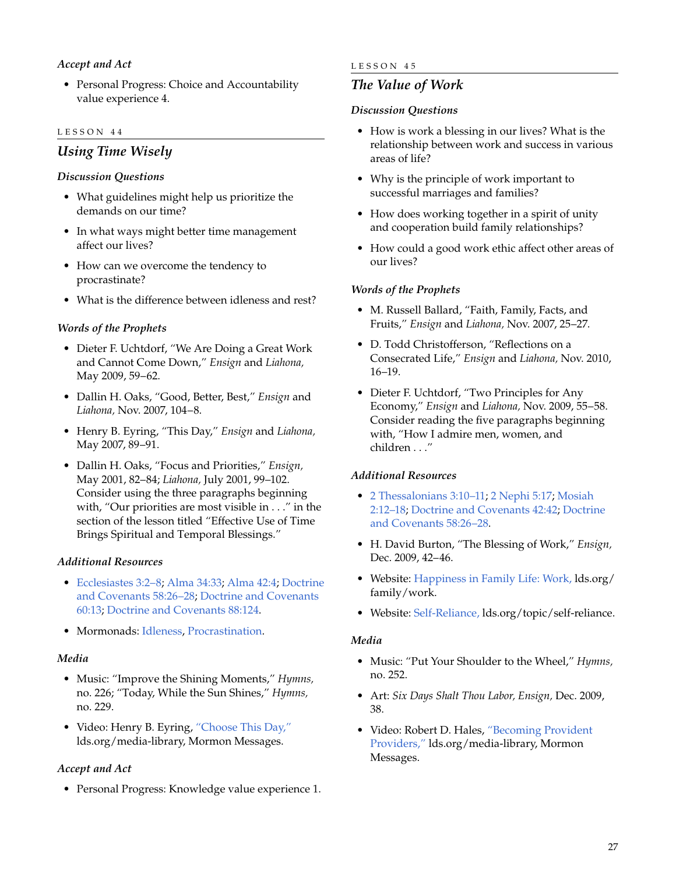# *Accept and Act*

• Personal Progress: Choice and Accountability value experience 4.

#### LESSON 44

# *Using Time Wisely*

#### *Discussion Questions*

- What guidelines might help us prioritize the demands on our time?
- In what ways might better time management affect our lives?
- How can we overcome the tendency to procrastinate?
- What is the difference between idleness and rest?

#### *Words of the Prophets*

- Dieter F. Uchtdorf, "We Are Doing a Great Work and Cannot Come Down," *Ensign* and *Liahona,* May 2009, 59–62.
- Dallin H. Oaks, "Good, Better, Best," *Ensign* and *Liahona,* Nov. 2007, 104–8.
- Henry B. Eyring, "This Day," *Ensign* and *Liahona,* May 2007, 89–91.
- Dallin H. Oaks, "Focus and Priorities," *Ensign,* May 2001, 82–84; *Liahona,* July 2001, 99–102. Consider using the three paragraphs beginning with, "Our priorities are most visible in . . ." in the section of the lesson titled "Effective Use of Time Brings Spiritual and Temporal Blessings."

#### *Additional Resources*

- [Ecclesiastes 3:2–8](http://lds.org/scriptures/ot/eccl/3.2-8?lang=eng#2); [Alma 34:33;](http://lds.org/scriptures/bofm/alma/34.33?lang=eng#33) [Alma 42:4](http://lds.org/scriptures/bofm/alma/42.4?lang=eng#4); [Doctrine](http://lds.org/scriptures/dc-testament/dc/58.26-28?lang=eng#26) [and Covenants 58:26–28](http://lds.org/scriptures/dc-testament/dc/58.26-28?lang=eng#26); [Doctrine and Covenants](http://lds.org/scriptures/dc-testament/dc/60.13?lang=eng#13) [60:13](http://lds.org/scriptures/dc-testament/dc/60.13?lang=eng#13); [Doctrine and Covenants 88:124](http://lds.org/scriptures/dc-testament/dc/88.124?lang=eng#124).
- Mormonads: [Idleness](http://lds.org/ldsorg/v/index.jsp?vgnextoid=024644f8f206c010VgnVCM1000004d82620aRCRD&locale=0&sourceId=33d51859fa5f8110VgnVCM100000176f620a____#Idleness), [Procrastination](http://lds.org/ldsorg/v/index.jsp?vgnextoid=024644f8f206c010VgnVCM1000004d82620aRCRD&locale=0&sourceId=8358fac79272b110VgnVCM100000176f620a____#Procrastination).

#### *Media*

- Music: "Improve the Shining Moments," *Hymns,* no. 226; "Today, While the Sun Shines," *Hymns,* no. 229.
- Video: Henry B. Eyring, ["Choose This Day,"](http://lds.org/ldsorg/v/index.jsp?autoplay=true&index=3&locale=0&sourceId=c9e71552004a5210VgnVCM100000176f620a____&vgnextoid=bd163ca6e9aa3210VgnVCM1000003a94610aRCRD) lds.org/media-library, Mormon Messages.

#### *Accept and Act*

• Personal Progress: Knowledge value experience 1.

#### LESSON 45

# *The Value of Work*

#### *Discussion Questions*

- How is work a blessing in our lives? What is the relationship between work and success in various areas of life?
- Why is the principle of work important to successful marriages and families?
- How does working together in a spirit of unity and cooperation build family relationships?
- How could a good work ethic affect other areas of our lives?

#### *Words of the Prophets*

- M. Russell Ballard, "Faith, Family, Facts, and Fruits," *Ensign* and *Liahona,* Nov. 2007, 25–27.
- D. Todd Christofferson, "Reflections on a Consecrated Life," *Ensign* and *Liahona,* Nov. 2010, 16–19.
- Dieter F. Uchtdorf, "Two Principles for Any Economy," *Ensign* and *Liahona,* Nov. 2009, 55–58. Consider reading the five paragraphs beginning with, "How I admire men, women, and children . . ."

#### *Additional Resources*

- 2 [Thessalonians 3:10–11;](http://lds.org/scriptures/nt/2-thes/3.10-11?lang=eng#10) 2 [Nephi 5:17](http://lds.org/scriptures/bofm/2-ne/5.17?lang=eng#17); [Mosiah](http://lds.org/scriptures/bofm/mosiah/2.12-18?lang=eng#12) [2:12–18;](http://lds.org/scriptures/bofm/mosiah/2.12-18?lang=eng#12) [Doctrine and Covenants 42:42](http://lds.org/scriptures/dc-testament/dc/42.42?lang=eng#42); [Doctrine](http://lds.org/scriptures/dc-testament/dc/58.26-28?lang=eng#26) [and Covenants 58:26–28](http://lds.org/scriptures/dc-testament/dc/58.26-28?lang=eng#26).
- H. David Burton, "The Blessing of Work," *Ensign,* Dec. 2009, 42–46.
- Website: [Happiness in Family Life: Work,](http://lds.org/family/work?lang=eng) lds.org/ family/work.
- Website: [Self-Reliance,](http://lds.org/topic/self-reliance/index.html) lds.org/topic/self-reliance.

#### *Media*

- Music: "Put Your Shoulder to the Wheel," *Hymns,* no. 252.
- Art: *Six Days Shalt Thou Labor, Ensign,* Dec. 2009, 38.
- Video: Robert D. Hales, ["Becoming Provident](http://lds.org/media-library/video/mormon-messages?lang=eng#2010-03-06-becoming-provident-providers) [Providers,"](http://lds.org/media-library/video/mormon-messages?lang=eng#2010-03-06-becoming-provident-providers) lds.org/media-library, Mormon Messages.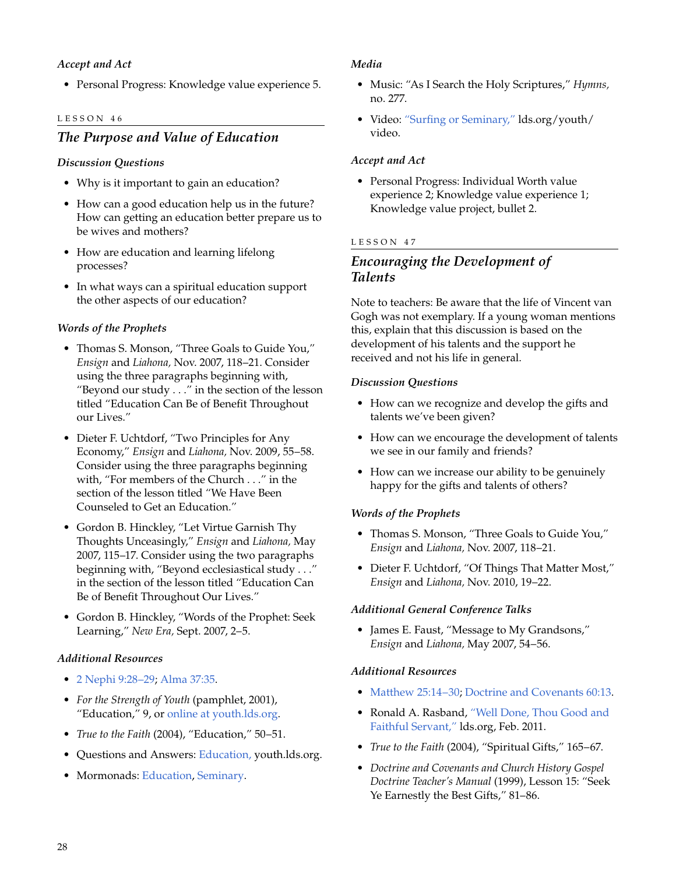# *Accept and Act*

• Personal Progress: Knowledge value experience 5.

#### LESSON 46

# *The Purpose and Value of Education*

#### *Discussion Questions*

- Why is it important to gain an education?
- How can a good education help us in the future? How can getting an education better prepare us to be wives and mothers?
- How are education and learning lifelong processes?
- In what ways can a spiritual education support the other aspects of our education?

#### *Words of the Prophets*

- Thomas S. Monson, "Three Goals to Guide You," *Ensign* and *Liahona,* Nov. 2007, 118–21. Consider using the three paragraphs beginning with, "Beyond our study . . ." in the section of the lesson titled "Education Can Be of Benefit Throughout our Lives."
- Dieter F. Uchtdorf, "Two Principles for Any Economy," *Ensign* and *Liahona,* Nov. 2009, 55–58. Consider using the three paragraphs beginning with, "For members of the Church . . ." in the section of the lesson titled "We Have Been Counseled to Get an Education."
- Gordon B. Hinckley, "Let Virtue Garnish Thy Thoughts Unceasingly," *Ensign* and *Liahona,* May 2007, 115–17. Consider using the two paragraphs beginning with, "Beyond ecclesiastical study . . ." in the section of the lesson titled "Education Can Be of Benefit Throughout Our Lives."
- Gordon B. Hinckley, "Words of the Prophet: Seek Learning," *New Era,* Sept. 2007, 2–5.

#### *Additional Resources*

- 2 [Nephi 9:28–29](http://lds.org/scriptures/bofm/2-ne/9.28-29?lang=eng#28); [Alma 37:35.](http://lds.org/scriptures/bofm/alma/37.35?lang=eng#35)
- *For the Strength of Youth* (pamphlet, 2001), "Education," 9, or [online at youth.lds.org.](http://lds.org/youth/for-the-strength-of-youth/education)
- *True to the Faith* (2004), "Education," 50–51.
- Questions and Answers: [Education,](http://lds.org/youth/ask/top/education?lang=eng) youth.lds.org.
- Mormonads: [Education,](http://lds.org/ldsorg/v/index.jsp?vgnextoid=024644f8f206c010VgnVCM1000004d82620aRCRD&locale=0&sourceId=c1c41859fa5f8110VgnVCM100000176f620a____#Education) [Seminary](http://lds.org/ldsorg/v/index.jsp?vgnextoid=024644f8f206c010VgnVCM1000004d82620aRCRD&locale=0&sourceId=8319fac79272b110VgnVCM100000176f620a____#Seminary).

#### *Media*

- Music: "As I Search the Holy Scriptures," *Hymns,* no. 277.
- Video: ["Surfing or Seminary,"](http://lds.org/youth/video/surfing-or-seminary?lang=eng) lds.org/youth/ video.

#### *Accept and Act*

• Personal Progress: Individual Worth value experience 2; Knowledge value experience 1; Knowledge value project, bullet 2.

#### LESSON 47

# *Encouraging the Development of Talents*

Note to teachers: Be aware that the life of Vincent van Gogh was not exemplary. If a young woman mentions this, explain that this discussion is based on the development of his talents and the support he received and not his life in general.

#### *Discussion Questions*

- How can we recognize and develop the gifts and talents we've been given?
- How can we encourage the development of talents we see in our family and friends?
- How can we increase our ability to be genuinely happy for the gifts and talents of others?

# *Words of the Prophets*

- Thomas S. Monson, "Three Goals to Guide You," *Ensign* and *Liahona,* Nov. 2007, 118–21.
- Dieter F. Uchtdorf, "Of Things That Matter Most," *Ensign* and *Liahona,* Nov. 2010, 19–22.

#### *Additional General Conference Talks*

• James E. Faust, "Message to My Grandsons," *Ensign* and *Liahona,* May 2007, 54–56.

#### *Additional Resources*

- [Matthew 25:14–30](http://lds.org/scriptures/nt/matt/25.14-30?lang=eng#14); [Doctrine and Covenants 60:13.](http://lds.org/scriptures/dc-testament/dc/60.13?lang=eng#13)
- Ronald A. Rasband, ["Well Done, Thou Good and](http://lds.org/pages/well-done-thou-good-and-faithful-servant?lang=eng) [Faithful Servant,"](http://lds.org/pages/well-done-thou-good-and-faithful-servant?lang=eng) lds.org, Feb. 2011.
- *True to the Faith* (2004), "Spiritual Gifts," 165–67.
- *Doctrine and Covenants and Church History Gospel Doctrine Teacher's Manual* (1999), Lesson 15: "Seek Ye Earnestly the Best Gifts," 81–86.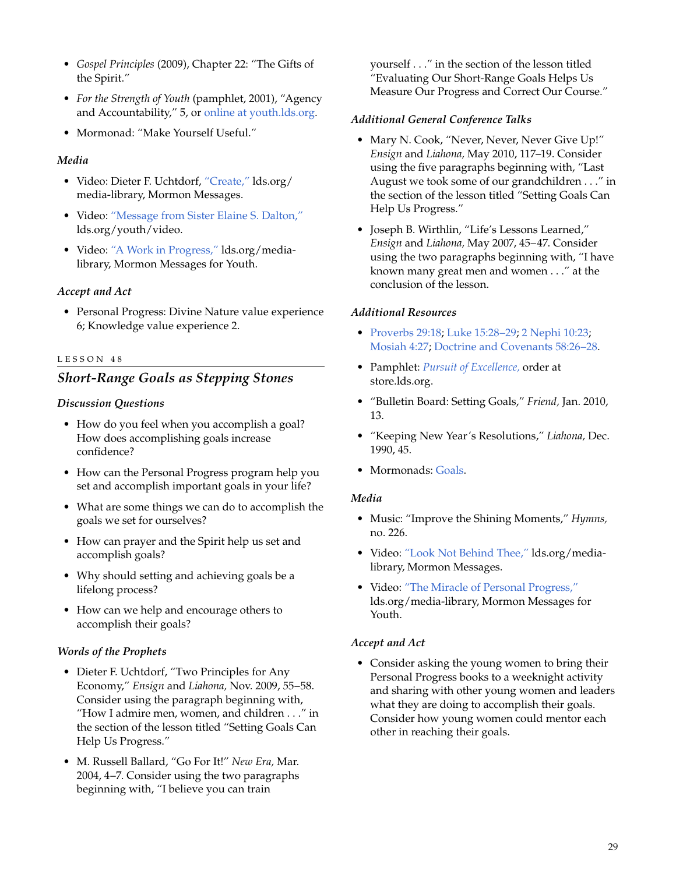- *Gospel Principles* (2009), Chapter 22: "The Gifts of the Spirit."
- *For the Strength of Youth* (pamphlet, 2001), "Agency and Accountability," 5, or [online at youth.lds.org](http://lds.org/youth/for-the-strength-of-youth/agency-and-accountability).
- Mormonad: "Make Yourself Useful."

#### *Media*

- Video: Dieter F. Uchtdorf, ["Create,"](http://lds.org/media-library/video/mormon-messages?lang=eng#2009-02-06-create) lds.org/ media-library, Mormon Messages.
- Video: ["Message from Sister Elaine](http://lds.org/youth/video/message-from-sister-elaine-s-dalton?lang=eng) S. Dalton," lds.org/youth/video.
- Video: ["A Work in Progress,"](http://lds.org/youth/video/a-work-in-progress?lang=eng) lds.org/medialibrary, Mormon Messages for Youth.

#### *Accept and Act*

• Personal Progress: Divine Nature value experience 6; Knowledge value experience 2.

#### LESSON 48

# *Short-Range Goals as Stepping Stones*

#### *Discussion Questions*

- How do you feel when you accomplish a goal? How does accomplishing goals increase confidence?
- How can the Personal Progress program help you set and accomplish important goals in your life?
- What are some things we can do to accomplish the goals we set for ourselves?
- How can prayer and the Spirit help us set and accomplish goals?
- Why should setting and achieving goals be a lifelong process?
- How can we help and encourage others to accomplish their goals?

#### *Words of the Prophets*

- Dieter F. Uchtdorf, "Two Principles for Any Economy," *Ensign* and *Liahona,* Nov. 2009, 55–58. Consider using the paragraph beginning with, "How I admire men, women, and children . . ." in the section of the lesson titled "Setting Goals Can Help Us Progress."
- M. Russell Ballard, "Go For It!" *New Era,* Mar. 2004, 4–7. Consider using the two paragraphs beginning with, "I believe you can train

yourself . . ." in the section of the lesson titled "Evaluating Our Short-Range Goals Helps Us Measure Our Progress and Correct Our Course."

#### *Additional General Conference Talks*

- Mary N. Cook, "Never, Never, Never Give Up!" *Ensign* and *Liahona,* May 2010, 117–19. Consider using the five paragraphs beginning with, "Last August we took some of our grandchildren . . ." in the section of the lesson titled "Setting Goals Can Help Us Progress."
- Joseph B. Wirthlin, "Life's Lessons Learned," *Ensign* and *Liahona,* May 2007, 45–47. Consider using the two paragraphs beginning with, "I have known many great men and women . . ." at the conclusion of the lesson.

#### *Additional Resources*

- [Proverbs 29:18;](http://lds.org/scriptures/ot/prov/29.18?lang=eng#18) [Luke 15:28–29;](http://lds.org/scriptures/nt/luke/15.28-29?lang=eng#28) 2 [Nephi 10:23](http://lds.org/scriptures/bofm/2-ne/10.23?lang=eng#23); [Mosiah 4:27](http://lds.org/scriptures/bofm/mosiah/4.27?lang=eng#27); [Doctrine and Covenants 58:26–28](http://lds.org/scriptures/dc-testament/dc/58.26-28?lang=eng#26).
- Pamphlet: *[Pursuit of Excellence,](http://store.lds.org/webapp/wcs/stores/servlet/Product3_715839595_10557_22016_-1__195638)* order at store.lds.org.
- "Bulletin Board: Setting Goals," *Friend,* Jan. 2010, 13.
- "Keeping New Year's Resolutions," *Liahona,* Dec. 1990, 45.
- Mormonads: [Goals](http://lds.org/ldsorg/v/index.jsp?vgnextoid=024644f8f206c010VgnVCM1000004d82620aRCRD&locale=0&sourceId=d324b4349532b110VgnVCM100000176f620a____#Goals).

#### *Media*

- Music: "Improve the Shining Moments," *Hymns,* no. 226.
- Video: ["Look Not Behind Thee,"](http://lds.org/pages/mormon-messages-gallery?lang=eng#look-not-behind-thee) lds.org/medialibrary, Mormon Messages.
- Video: ["The Miracle of Personal Progress,"](http://lds.org/youth/video/the-miracle-of-personal-progress?lang=eng) lds.org/media-library, Mormon Messages for Youth.

#### *Accept and Act*

• Consider asking the young women to bring their Personal Progress books to a weeknight activity and sharing with other young women and leaders what they are doing to accomplish their goals. Consider how young women could mentor each other in reaching their goals.